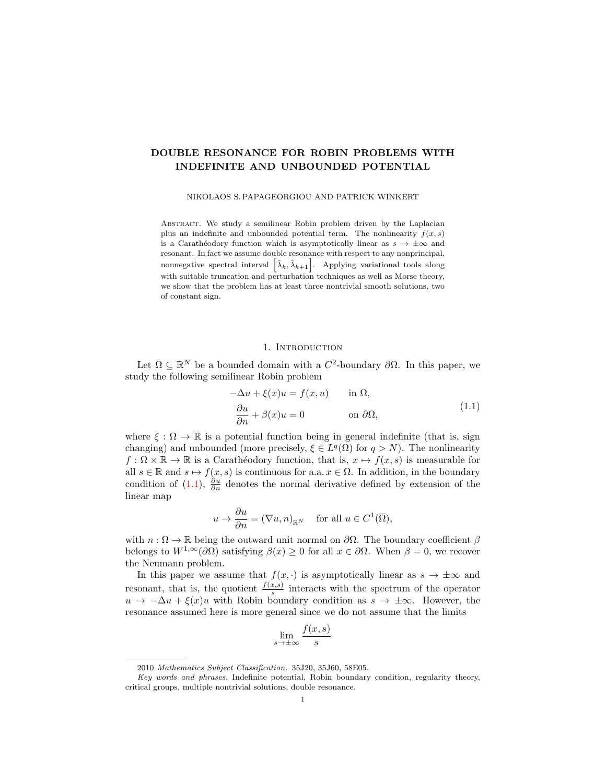# DOUBLE RESONANCE FOR ROBIN PROBLEMS WITH INDEFINITE AND UNBOUNDED POTENTIAL

NIKOLAOS S. PAPAGEORGIOU AND PATRICK WINKERT

Abstract. We study a semilinear Robin problem driven by the Laplacian plus an indefinite and unbounded potential term. The nonlinearity  $f(x, s)$ is a Carathéodory function which is asymptotically linear as  $s \to \pm \infty$  and resonant. In fact we assume double resonance with respect to any nonprincipal, nonnegative spectral interval  $\left[\hat{\lambda}_k, \hat{\lambda}_{k+1}\right]$ . Applying variational tools along with suitable truncation and perturbation techniques as well as Morse theory, we show that the problem has at least three nontrivial smooth solutions, two of constant sign.

# 1. INTRODUCTION

Let  $\Omega \subseteq \mathbb{R}^N$  be a bounded domain with a  $C^2$ -boundary  $\partial\Omega$ . In this paper, we study the following semilinear Robin problem

<span id="page-0-0"></span>
$$
-\Delta u + \xi(x)u = f(x, u) \quad \text{in } \Omega,
$$
  
\n
$$
\frac{\partial u}{\partial n} + \beta(x)u = 0 \quad \text{on } \partial\Omega,
$$
\n(1.1)

where  $\xi : \Omega \to \mathbb{R}$  is a potential function being in general indefinite (that is, sign changing) and unbounded (more precisely,  $\xi \in L^q(\Omega)$  for  $q > N$ ). The nonlinearity  $f: \Omega \times \mathbb{R} \to \mathbb{R}$  is a Carathéodory function, that is,  $x \mapsto f(x, s)$  is measurable for all  $s \in \mathbb{R}$  and  $s \mapsto f(x, s)$  is continuous for a.a.  $x \in \Omega$ . In addition, in the boundary condition of [\(1.1\)](#page-0-0),  $\frac{\partial u}{\partial n}$  denotes the normal derivative defined by extension of the linear map

$$
u \to \frac{\partial u}{\partial n} = (\nabla u, n)_{\mathbb{R}^N}
$$
 for all  $u \in C^1(\overline{\Omega}),$ 

with  $n : \Omega \to \mathbb{R}$  being the outward unit normal on  $\partial\Omega$ . The boundary coefficient  $\beta$ belongs to  $W^{1,\infty}(\partial\Omega)$  satisfying  $\beta(x)\geq 0$  for all  $x\in\partial\Omega$ . When  $\beta=0$ , we recover the Neumann problem.

In this paper we assume that  $f(x, \cdot)$  is asymptotically linear as  $s \to \pm \infty$  and resonant, that is, the quotient  $\frac{f(x,s)}{s}$  interacts with the spectrum of the operator  $u \to -\Delta u + \xi(x)u$  with Robin boundary condition as  $s \to \pm \infty$ . However, the resonance assumed here is more general since we do not assume that the limits

$$
\lim_{s \to \pm \infty} \frac{f(x, s)}{s}
$$

<sup>2010</sup> Mathematics Subject Classification. 35J20, 35J60, 58E05.

Key words and phrases. Indefinite potential, Robin boundary condition, regularity theory, critical groups, multiple nontrivial solutions, double resonance.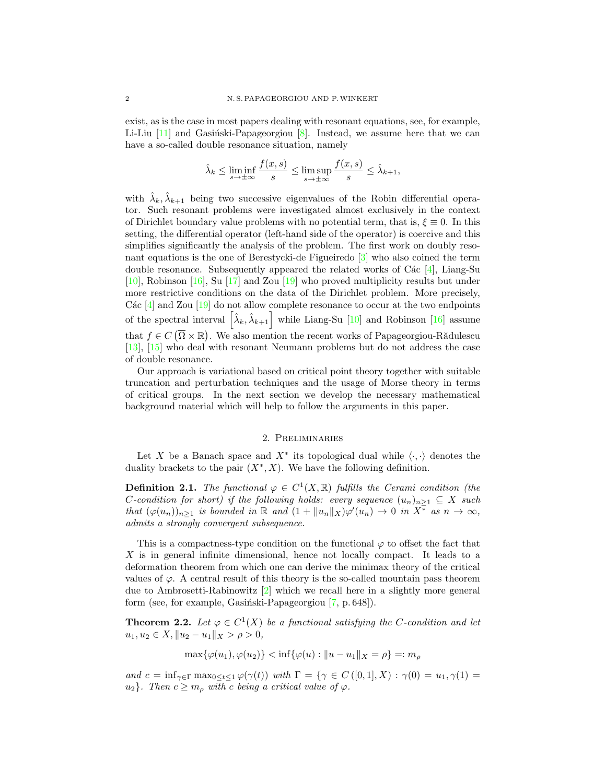exist, as is the case in most papers dealing with resonant equations, see, for example, Li-Liu  $[11]$  and Gasiński-Papageorgiou  $[8]$ . Instead, we assume here that we can have a so-called double resonance situation, namely

$$
\hat{\lambda}_k \le \liminf_{s \to \pm \infty} \frac{f(x, s)}{s} \le \limsup_{s \to \pm \infty} \frac{f(x, s)}{s} \le \hat{\lambda}_{k+1},
$$

with  $\hat{\lambda}_k, \hat{\lambda}_{k+1}$  being two successive eigenvalues of the Robin differential operator. Such resonant problems were investigated almost exclusively in the context of Dirichlet boundary value problems with no potential term, that is,  $\xi \equiv 0$ . In this setting, the differential operator (left-hand side of the operator) is coercive and this simplifies significantly the analysis of the problem. The first work on doubly resonant equations is the one of Berestycki-de Figueiredo [\[3\]](#page-21-2) who also coined the term double resonance. Subsequently appeared the related works of C $\acute{a}c$  [\[4\]](#page-21-3), Liang-Su [\[10\]](#page-21-4), Robinson [\[16\]](#page-22-0), Su [\[17\]](#page-22-1) and Zou [\[19\]](#page-22-2) who proved multiplicity results but under more restrictive conditions on the data of the Dirichlet problem. More precisely, Các  $[4]$  and Zou  $[19]$  do not allow complete resonance to occur at the two endpoints of the spectral interval  $\left[\hat{\lambda}_k, \hat{\lambda}_{k+1}\right]$  while Liang-Su [\[10\]](#page-21-4) and Robinson [\[16\]](#page-22-0) assume that  $f \in C(\overline{\Omega} \times \mathbb{R})$ . We also mention the recent works of Papageorgiou-Rădulescu [\[13\]](#page-22-3), [\[15\]](#page-22-4) who deal with resonant Neumann problems but do not address the case of double resonance.

Our approach is variational based on critical point theory together with suitable truncation and perturbation techniques and the usage of Morse theory in terms of critical groups. In the next section we develop the necessary mathematical background material which will help to follow the arguments in this paper.

#### 2. Preliminaries

<span id="page-1-0"></span>Let X be a Banach space and  $X^*$  its topological dual while  $\langle \cdot, \cdot \rangle$  denotes the duality brackets to the pair  $(X^*, X)$ . We have the following definition.

**Definition 2.1.** The functional  $\varphi \in C^1(X,\mathbb{R})$  fulfills the Cerami condition (the C-condition for short) if the following holds: every sequence  $(u_n)_{n\geq 1} \subseteq X$  such that  $(\varphi(u_n))_{n\geq 1}$  is bounded in  $\mathbb R$  and  $(1+\|u_n\|_X)\varphi'(u_n)\to 0$  in  $X^{\bar *}$  as  $n\to\infty$ , admits a strongly convergent subsequence.

This is a compactness-type condition on the functional  $\varphi$  to offset the fact that X is in general infinite dimensional, hence not locally compact. It leads to a deformation theorem from which one can derive the minimax theory of the critical values of  $\varphi$ . A central result of this theory is the so-called mountain pass theorem due to Ambrosetti-Rabinowitz [\[2\]](#page-21-5) which we recall here in a slightly more general form (see, for example, Gasiński-Papageorgiou  $[7, p. 648]$ ).

<span id="page-1-1"></span>**Theorem 2.2.** Let  $\varphi \in C^1(X)$  be a functional satisfying the C-condition and let  $u_1, u_2 \in X, \|u_2 - u_1\|_X > \rho > 0,$ 

$$
\max{\{\varphi(u_1), \varphi(u_2)\}} < \inf{\{\varphi(u) : \|u - u_1\|_X = \rho\}} =: m_\rho
$$

and  $c = \inf_{\gamma \in \Gamma} \max_{0 \le t \le 1} \varphi(\gamma(t))$  with  $\Gamma = \{ \gamma \in C([0,1], X) : \gamma(0) = u_1, \gamma(1) =$  $u_2$ . Then  $c \geq m_\rho$  with c being a critical value of  $\varphi$ .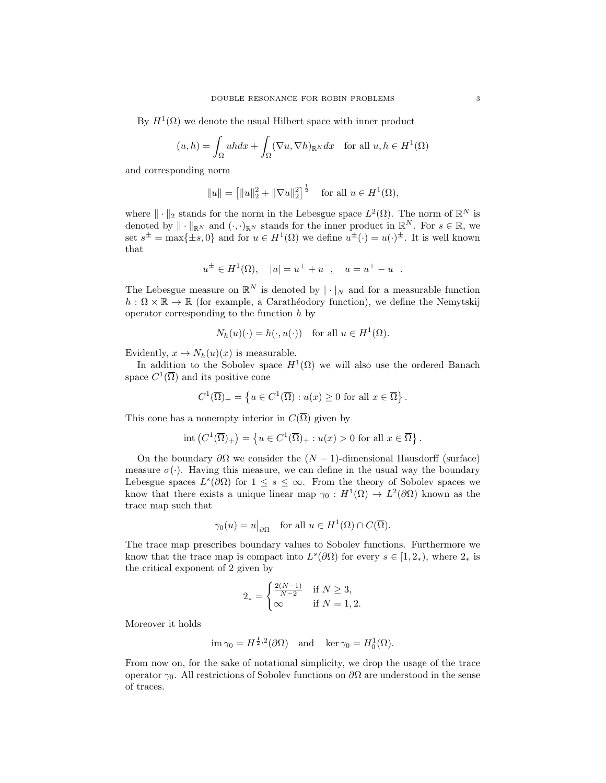By  $H^1(\Omega)$  we denote the usual Hilbert space with inner product

$$
(u,h) = \int_{\Omega} uhdx + \int_{\Omega} (\nabla u, \nabla h)_{\mathbb{R}^N} dx \quad \text{for all } u, h \in H^1(\Omega)
$$

and corresponding norm

$$
||u|| = [||u||_2^2 + ||\nabla u||_2^2]^{\frac{1}{2}}
$$
 for all  $u \in H^1(\Omega)$ ,

where  $\|\cdot\|_2$  stands for the norm in the Lebesgue space  $L^2(\Omega)$ . The norm of  $\mathbb{R}^N$  is denoted by  $\|\cdot\|_{\mathbb{R}^N}$  and  $(\cdot, \cdot)_{\mathbb{R}^N}$  stands for the inner product in  $\mathbb{R}^N$ . For  $s \in \mathbb{R}$ , we set  $s^{\pm} = \max\{\pm s, 0\}$  and for  $u \in H^1(\Omega)$  we define  $u^{\pm}(\cdot) = u(\cdot)^{\pm}$ . It is well known that

$$
u^{\pm} \in H^{1}(\Omega), \quad |u| = u^{+} + u^{-}, \quad u = u^{+} - u^{-}.
$$

The Lebesgue measure on  $\mathbb{R}^N$  is denoted by  $|\cdot|_N$  and for a measurable function  $h: \Omega \times \mathbb{R} \to \mathbb{R}$  (for example, a Carathéodory function), we define the Nemytskij operator corresponding to the function  $h$  by

$$
N_h(u)(\cdot) = h(\cdot, u(\cdot))
$$
 for all  $u \in H^1(\Omega)$ .

Evidently,  $x \mapsto N_h(u)(x)$  is measurable.

In addition to the Sobolev space  $H^1(\Omega)$  we will also use the ordered Banach space  $C^1(\overline{\Omega})$  and its positive cone

$$
C^{1}(\overline{\Omega})_{+} = \left\{ u \in C^{1}(\overline{\Omega}) : u(x) \ge 0 \text{ for all } x \in \overline{\Omega} \right\}.
$$

This cone has a nonempty interior in  $C(\overline{\Omega})$  given by

$$
int (C^1(\overline{\Omega})_+) = \left\{ u \in C^1(\overline{\Omega})_+ : u(x) > 0 \text{ for all } x \in \overline{\Omega} \right\}.
$$

On the boundary  $\partial\Omega$  we consider the  $(N-1)$ -dimensional Hausdorff (surface) measure  $\sigma(\cdot)$ . Having this measure, we can define in the usual way the boundary Lebesgue spaces  $L^s(\partial\Omega)$  for  $1 \leq s \leq \infty$ . From the theory of Sobolev spaces we know that there exists a unique linear map  $\gamma_0: H^1(\Omega) \to L^2(\partial\Omega)$  known as the trace map such that

$$
\gamma_0(u) = u\big|_{\partial\Omega}
$$
 for all  $u \in H^1(\Omega) \cap C(\overline{\Omega})$ .

The trace map prescribes boundary values to Sobolev functions. Furthermore we know that the trace map is compact into  $L^s(\partial\Omega)$  for every  $s \in [1, 2_*)$ , where  $2_*$  is the critical exponent of 2 given by

$$
2_* = \begin{cases} \frac{2(N-1)}{N-2} & \text{if } N \ge 3, \\ \infty & \text{if } N = 1, 2. \end{cases}
$$

Moreover it holds

$$
\operatorname{im} \gamma_0 = H^{\frac{1}{2},2}(\partial \Omega)
$$
 and  $\operatorname{ker} \gamma_0 = H_0^1(\Omega)$ .

From now on, for the sake of notational simplicity, we drop the usage of the trace operator  $\gamma_0$ . All restrictions of Sobolev functions on  $\partial\Omega$  are understood in the sense of traces.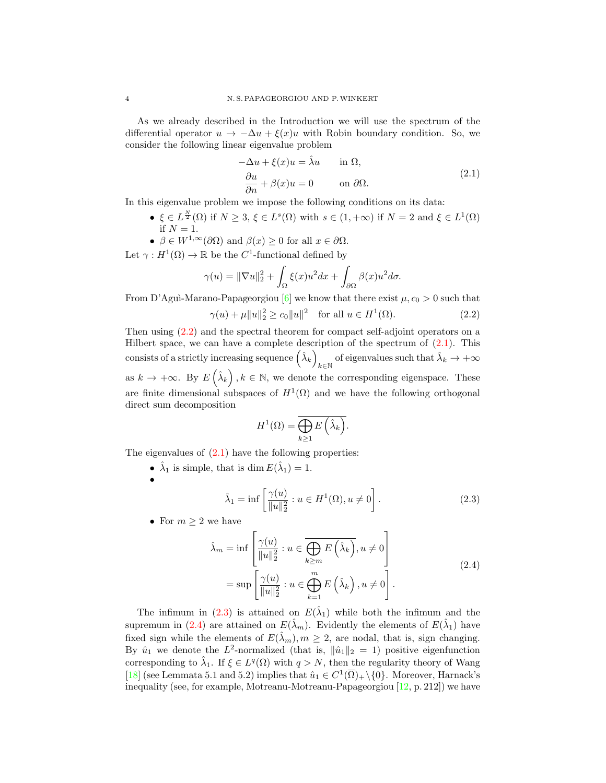As we already described in the Introduction we will use the spectrum of the differential operator  $u \to -\Delta u + \xi(x)u$  with Robin boundary condition. So, we consider the following linear eigenvalue problem

<span id="page-3-1"></span>
$$
-\Delta u + \xi(x)u = \hat{\lambda}u \qquad \text{in } \Omega,
$$
  
\n
$$
\frac{\partial u}{\partial n} + \beta(x)u = 0 \qquad \text{on } \partial\Omega.
$$
\n(2.1)

In this eigenvalue problem we impose the following conditions on its data:

- $\xi \in L^{\frac{N}{2}}(\Omega)$  if  $N \geq 3$ ,  $\xi \in L^{s}(\Omega)$  with  $s \in (1, +\infty)$  if  $N = 2$  and  $\xi \in L^{1}(\Omega)$ if  $N = 1$ .
- $\beta \in W^{1,\infty}(\partial\Omega)$  and  $\beta(x) \geq 0$  for all  $x \in \partial\Omega$ .

Let  $\gamma: H^1(\Omega) \to \mathbb{R}$  be the C<sup>1</sup>-functional defined by

$$
\gamma(u) = \|\nabla u\|_2^2 + \int_{\Omega} \xi(x)u^2 dx + \int_{\partial\Omega} \beta(x)u^2 d\sigma.
$$

From D'Agui-Marano-Papageorgiou [\[6\]](#page-21-7) we know that there exist  $\mu$ ,  $c_0 > 0$  such that

$$
\gamma(u) + \mu \|u\|_2^2 \ge c_0 \|u\|^2 \quad \text{for all } u \in H^1(\Omega). \tag{2.2}
$$

Then using [\(2.2\)](#page-3-0) and the spectral theorem for compact self-adjoint operators on a Hilbert space, we can have a complete description of the spectrum of  $(2.1)$ . This consists of a strictly increasing sequence  $(\hat{\lambda}_k)$ of eigenvalues such that  $\hat{\lambda}_k \to +\infty$ as  $k \to +\infty$ . By  $E\left(\hat{\lambda}_k\right), k \in \mathbb{N}$ , we denote the corresponding eigenspace. These are finite dimensional subspaces of  $H^1(\Omega)$  and we have the following orthogonal direct sum decomposition

<span id="page-3-2"></span><span id="page-3-0"></span>
$$
H^{1}(\Omega) = \overline{\bigoplus_{k \geq 1} E\left(\hat{\lambda}_{k}\right)}.
$$

The eigenvalues of  $(2.1)$  have the following properties:

•  $\hat{\lambda}_1$  is simple, that is dim  $E(\hat{\lambda}_1) = 1$ .

•

<span id="page-3-3"></span>
$$
\hat{\lambda}_1 = \inf \left[ \frac{\gamma(u)}{\|u\|_2^2} : u \in H^1(\Omega), u \neq 0 \right]. \tag{2.3}
$$

• For  $m\geq 2$  we have

$$
\hat{\lambda}_m = \inf \left[ \frac{\gamma(u)}{\|u\|_2^2} : u \in \overline{\bigoplus_{k \ge m} E\left(\hat{\lambda}_k\right)}, u \neq 0 \right]
$$
\n
$$
= \sup \left[ \frac{\gamma(u)}{\|u\|_2^2} : u \in \bigoplus_{k=1}^m E\left(\hat{\lambda}_k\right), u \neq 0 \right].
$$
\n(2.4)

The infimum in [\(2.3\)](#page-3-2) is attained on  $E(\hat{\lambda}_1)$  while both the infimum and the supremum in [\(2.4\)](#page-3-3) are attained on  $E(\hat{\lambda}_m)$ . Evidently the elements of  $E(\hat{\lambda}_1)$  have fixed sign while the elements of  $E(\hat{\lambda}_m), m \geq 2$ , are nodal, that is, sign changing. By  $\hat{u}_1$  we denote the  $L^2$ -normalized (that is,  $\|\hat{u}_1\|_2 = 1$ ) positive eigenfunction corresponding to  $\hat{\lambda}_1$ . If  $\xi \in L^q(\Omega)$  with  $q > N$ , then the regularity theory of Wang [\[18\]](#page-22-5) (see Lemmata 5.1 and 5.2) implies that  $\hat{u}_1 \in C^1(\overline{\Omega})_+ \setminus \{0\}$ . Moreover, Harnack's inequality (see, for example, Motreanu-Motreanu-Papageorgiou [\[12,](#page-21-8) p. 212]) we have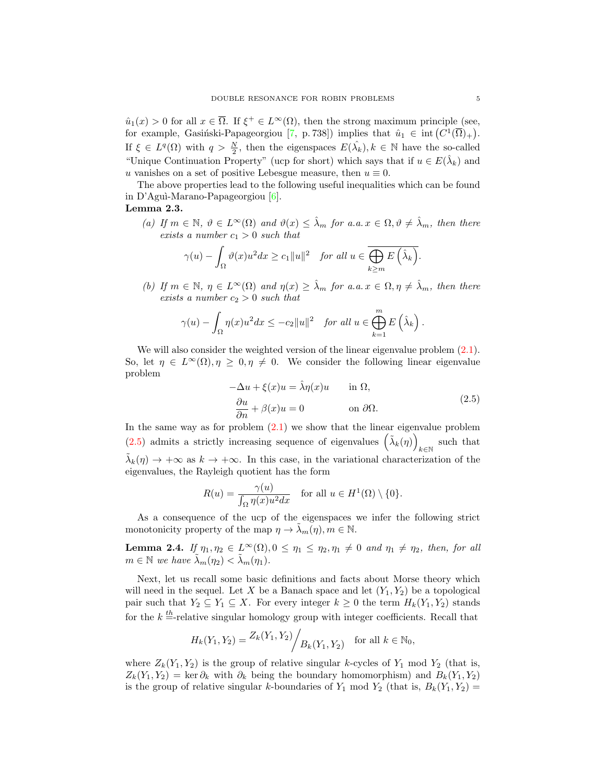$\hat{u}_1(x) > 0$  for all  $x \in \overline{\Omega}$ . If  $\xi^+ \in L^{\infty}(\Omega)$ , then the strong maximum principle (see, for example, Gasiński-Papageorgiou [\[7,](#page-21-6) p. 738]) implies that  $\hat{u}_1 \in \text{int}(C^1(\overline{\Omega})_+)$ . If  $\xi \in L^q(\Omega)$  with  $q > \frac{N}{2}$ , then the eigenspaces  $E(\hat{\lambda}_k)$ ,  $k \in \mathbb{N}$  have the so-called "Unique Continuation Property" (ucp for short) which says that if  $u \in E(\hat{\lambda}_k)$  and u vanishes on a set of positive Lebesgue measure, then  $u \equiv 0$ .

The above properties lead to the following useful inequalities which can be found in D'Aguì-Marano-Papageorgiou  $[6]$ .

# Lemma 2.3.

(a) If  $m \in \mathbb{N}$ ,  $\vartheta \in L^{\infty}(\Omega)$  and  $\vartheta(x) \leq \lambda_m$  for a.a.  $x \in \Omega, \vartheta \neq \lambda_m$ , then there exists a number  $c_1 > 0$  such that

$$
\gamma(u) - \int_{\Omega} \vartheta(x)u^2 dx \ge c_1 \|u\|^2 \quad \text{for all } u \in \overline{\bigoplus_{k \ge m} E\left(\hat{\lambda}_k\right)}
$$

(b) If  $m \in \mathbb{N}$ ,  $\eta \in L^{\infty}(\Omega)$  and  $\eta(x) \geq \hat{\lambda}_m$  for a.a.  $x \in \Omega, \eta \neq \hat{\lambda}_m$ , then there exists a number  $c_2 > 0$  such that

$$
\gamma(u) - \int_{\Omega} \eta(x)u^2 dx \leq -c_2 ||u||^2 \quad \text{for all } u \in \bigoplus_{k=1}^m E\left(\hat{\lambda}_k\right).
$$

We will also consider the weighted version of the linear eigenvalue problem  $(2.1)$ . So, let  $\eta \in L^{\infty}(\Omega)$ ,  $\eta \geq 0$ ,  $\eta \neq 0$ . We consider the following linear eigenvalue problem

<span id="page-4-0"></span>
$$
-\Delta u + \xi(x)u = \hat{\lambda}\eta(x)u \quad \text{in } \Omega,
$$
  
\n
$$
\frac{\partial u}{\partial n} + \beta(x)u = 0 \quad \text{on } \partial\Omega.
$$
 (2.5)

In the same way as for problem  $(2.1)$  we show that the linear eigenvalue problem [\(2.5\)](#page-4-0) admits a strictly increasing sequence of eigenvalues  $(\tilde{\lambda}_k(\eta))$ such that  $k \in \mathbb{N}$  $\tilde{\lambda}_k(\eta) \to +\infty$  as  $k \to +\infty$ . In this case, in the variational characterization of the eigenvalues, the Rayleigh quotient has the form

$$
R(u) = \frac{\gamma(u)}{\int_{\Omega} \eta(x)u^2 dx} \quad \text{for all } u \in H^1(\Omega) \setminus \{0\}.
$$

As a consequence of the ucp of the eigenspaces we infer the following strict monotonicity property of the map  $\eta \to \lambda_m(\eta), m \in \mathbb{N}$ .

<span id="page-4-1"></span>**Lemma 2.4.** If  $\eta_1, \eta_2 \in L^{\infty}(\Omega), 0 \leq \eta_1 \leq \eta_2, \eta_1 \neq 0$  and  $\eta_1 \neq \eta_2$ , then, for all  $m \in \mathbb{N}$  we have  $\tilde{\lambda}_m(\eta_2) < \tilde{\lambda}_m(\eta_1)$ .

Next, let us recall some basic definitions and facts about Morse theory which will need in the sequel. Let X be a Banach space and let  $(Y_1, Y_2)$  be a topological pair such that  $Y_2 \subseteq Y_1 \subseteq X$ . For every integer  $k \geq 0$  the term  $H_k(Y_1, Y_2)$  stands for the  $k = \text{relative singular homology group with integer coefficients. Recall that}$ 

$$
H_k(Y_1, Y_2) = \frac{Z_k(Y_1, Y_2)}{B_k(Y_1, Y_2)}
$$
 for all  $k \in \mathbb{N}_0$ ,

where  $Z_k(Y_1, Y_2)$  is the group of relative singular k-cycles of  $Y_1$  mod  $Y_2$  (that is,  $Z_k(Y_1, Y_2) = \ker \partial_k$  with  $\partial_k$  being the boundary homomorphism) and  $B_k(Y_1, Y_2)$ is the group of relative singular k-boundaries of  $Y_1$  mod  $Y_2$  (that is,  $B_k(Y_1, Y_2)$  =

.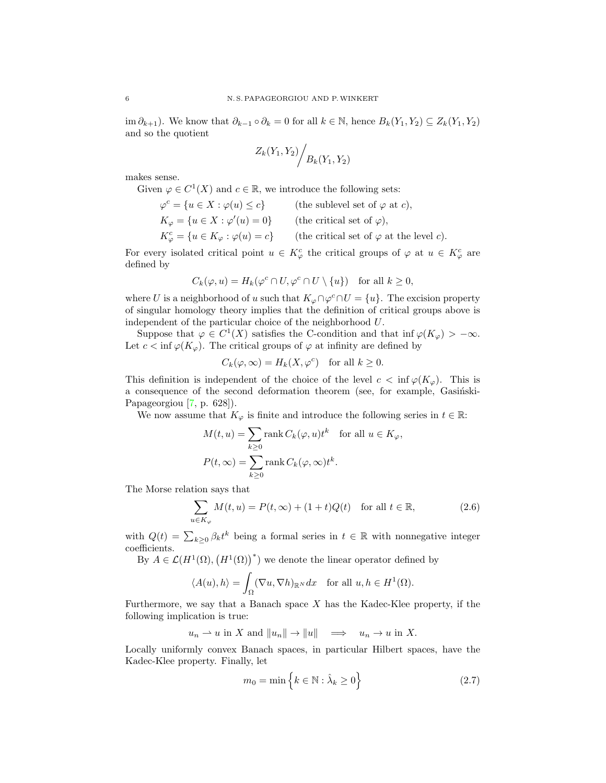im  $\partial_{k+1}$ ). We know that  $\partial_{k-1} \circ \partial_k = 0$  for all  $k \in \mathbb{N}$ , hence  $B_k(Y_1, Y_2) \subseteq Z_k(Y_1, Y_2)$ and so the quotient

$$
Z_k(Y_1, Y_2) / B_k(Y_1, Y_2)
$$

makes sense.

Given  $\varphi \in C^1(X)$  and  $c \in \mathbb{R}$ , we introduce the following sets:

$$
\varphi^{c} = \{ u \in X : \varphi(u) \le c \}
$$
 (the sublevel set of  $\varphi$  at c),  
\n
$$
K_{\varphi} = \{ u \in X : \varphi'(u) = 0 \}
$$
 (the critical set of  $\varphi$ ),  
\n
$$
K_{\varphi}^{c} = \{ u \in K_{\varphi} : \varphi(u) = c \}
$$
 (the critical set of  $\varphi$  at the level c).

For every isolated critical point  $u \in K^c_\varphi$  the critical groups of  $\varphi$  at  $u \in K^c_\varphi$  are defined by

$$
C_k(\varphi, u) = H_k(\varphi^c \cap U, \varphi^c \cap U \setminus \{u\}) \quad \text{for all } k \ge 0,
$$

where U is a neighborhood of u such that  $K_{\varphi} \cap \varphi^c \cap U = \{u\}$ . The excision property of singular homology theory implies that the definition of critical groups above is independent of the particular choice of the neighborhood U.

Suppose that  $\varphi \in C^1(X)$  satisfies the C-condition and that inf  $\varphi(K_{\varphi}) > -\infty$ . Let  $c < \inf \varphi(K_{\varphi})$ . The critical groups of  $\varphi$  at infinity are defined by

$$
C_k(\varphi,\infty) = H_k(X,\varphi^c) \quad \text{for all } k \ge 0.
$$

This definition is independent of the choice of the level  $c < \inf \varphi(K_{\varphi})$ . This is a consequence of the second deformation theorem (see, for example, Gasinski-Papageorgiou [\[7,](#page-21-6) p. 628]).

We now assume that  $K_{\varphi}$  is finite and introduce the following series in  $t \in \mathbb{R}$ :

<span id="page-5-1"></span>
$$
M(t, u) = \sum_{k \ge 0} \text{rank } C_k(\varphi, u)t^k \quad \text{for all } u \in K_{\varphi},
$$
  

$$
P(t, \infty) = \sum_{k \ge 0} \text{rank } C_k(\varphi, \infty)t^k.
$$

The Morse relation says that

$$
\sum_{u \in K_{\varphi}} M(t, u) = P(t, \infty) + (1 + t)Q(t) \quad \text{for all } t \in \mathbb{R},
$$
\n(2.6)

with  $Q(t) = \sum_{k\geq 0} \beta_k t^k$  being a formal series in  $t \in \mathbb{R}$  with nonnegative integer coefficients.

By  $A \in \mathcal{L}(H^1(\Omega), (H^1(\Omega))^*)$  we denote the linear operator defined by

$$
\langle A(u), h \rangle = \int_{\Omega} (\nabla u, \nabla h)_{\mathbb{R}^N} dx \quad \text{for all } u, h \in H^1(\Omega).
$$

Furthermore, we say that a Banach space  $X$  has the Kadec-Klee property, if the following implication is true:

 $u_n \rightharpoonup u$  in X and  $||u_n|| \rightharpoonup ||u|| \rightharpoonup \rightharpoonup u_n \rightharpoonup u$  in X.

Locally uniformly convex Banach spaces, in particular Hilbert spaces, have the Kadec-Klee property. Finally, let

<span id="page-5-0"></span>
$$
m_0 = \min\left\{k \in \mathbb{N} : \hat{\lambda}_k \ge 0\right\} \tag{2.7}
$$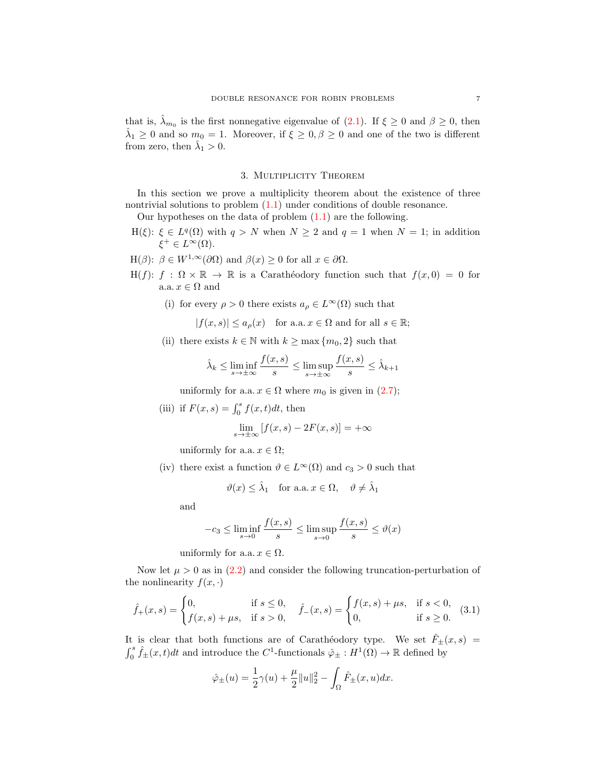that is,  $\hat{\lambda}_{m_0}$  is the first nonnegative eigenvalue of [\(2.1\)](#page-3-1). If  $\xi \geq 0$  and  $\beta \geq 0$ , then  $\hat{\lambda}_1 \geq 0$  and so  $m_0 = 1$ . Moreover, if  $\xi \geq 0, \beta \geq 0$  and one of the two is different from zero, then  $\hat{\lambda}_1 > 0$ .

### 3. Multiplicity Theorem

In this section we prove a multiplicity theorem about the existence of three nontrivial solutions to problem  $(1.1)$  under conditions of double resonance.

Our hypotheses on the data of problem  $(1.1)$  are the following.

- $H(\xi)$ :  $\xi \in L^q(\Omega)$  with  $q > N$  when  $N \geq 2$  and  $q = 1$  when  $N = 1$ ; in addition  $\xi^+ \in L^{\infty}(\Omega)$ .
- H( $\beta$ ):  $\beta \in W^{1,\infty}(\partial \Omega)$  and  $\beta(x) \geq 0$  for all  $x \in \partial \Omega$ .
- H(f):  $f : \Omega \times \mathbb{R} \to \mathbb{R}$  is a Caratheodory function such that  $f(x, 0) = 0$  for a.a.  $x \in \Omega$  and
	- (i) for every  $\rho > 0$  there exists  $a_{\rho} \in L^{\infty}(\Omega)$  such that

$$
|f(x,s)| \le a_{\rho}(x) \quad \text{for a.a. } x \in \Omega \text{ and for all } s \in \mathbb{R};
$$

(ii) there exists  $k \in \mathbb{N}$  with  $k \ge \max\{m_0, 2\}$  such that

$$
\hat{\lambda}_k \le \liminf_{s \to \pm \infty} \frac{f(x, s)}{s} \le \limsup_{s \to \pm \infty} \frac{f(x, s)}{s} \le \hat{\lambda}_{k+1}
$$

uniformly for a.a.  $x \in \Omega$  where  $m_0$  is given in [\(2.7\)](#page-5-0);

(iii) if  $F(x, s) = \int_0^s f(x, t)dt$ , then

$$
\lim_{s \to \pm \infty} [f(x, s) - 2F(x, s)] = +\infty
$$

uniformly for a.a.  $x \in \Omega$ ;

(iv) there exist a function  $\vartheta \in L^{\infty}(\Omega)$  and  $c_3 > 0$  such that

$$
\vartheta(x) \leq \hat{\lambda}_1
$$
 for a.a.  $x \in \Omega$ ,  $\vartheta \neq \hat{\lambda}_1$ 

and

$$
-c_3 \le \liminf_{s \to 0} \frac{f(x,s)}{s} \le \limsup_{s \to 0} \frac{f(x,s)}{s} \le \vartheta(x)
$$

uniformly for a.a.  $x \in \Omega$ .

Now let  $\mu > 0$  as in  $(2.2)$  and consider the following truncation-perturbation of the nonlinearity  $f(x, \cdot)$ 

$$
\hat{f}_{+}(x,s) = \begin{cases} 0, & \text{if } s \le 0, \\ f(x,s) + \mu s, & \text{if } s > 0, \end{cases} \quad \hat{f}_{-}(x,s) = \begin{cases} f(x,s) + \mu s, & \text{if } s < 0, \\ 0, & \text{if } s \ge 0. \end{cases}
$$
 (3.1)

It is clear that both functions are of Carathéodory type. We set  $\hat{F}_\pm(x, s)$  =  $\int_0^s \hat{f}_{\pm}(x,t)dt$  and introduce the C<sup>1</sup>-functionals  $\hat{\varphi}_{\pm}: H^1(\Omega) \to \mathbb{R}$  defined by

<span id="page-6-0"></span>
$$
\hat{\varphi}_{\pm}(u) = \frac{1}{2}\gamma(u) + \frac{\mu}{2}||u||_2^2 - \int_{\Omega}\hat{F}_{\pm}(x, u)dx.
$$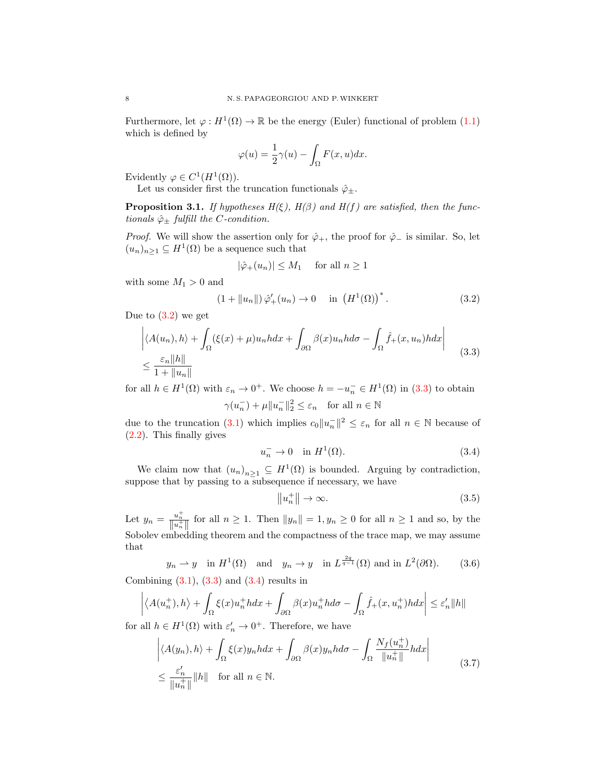Furthermore, let  $\varphi: H^1(\Omega) \to \mathbb{R}$  be the energy (Euler) functional of problem [\(1.1\)](#page-0-0) which is defined by

$$
\varphi(u) = \frac{1}{2}\gamma(u) - \int_{\Omega} F(x, u) dx.
$$

Evidently  $\varphi \in C^1(H^1(\Omega)).$ 

Let us consider first the truncation functionals  $\hat{\varphi}_{\pm}$ .

<span id="page-7-6"></span>**Proposition 3.1.** If hypotheses  $H(\xi)$ ,  $H(\beta)$  and  $H(f)$  are satisfied, then the functionals  $\hat{\varphi}_+$  fulfill the *C*-condition.

*Proof.* We will show the assertion only for  $\hat{\varphi}_+$ , the proof for  $\hat{\varphi}_-$  is similar. So, let  $(u_n)_{n\geq 1} \subseteq H^1(\Omega)$  be a sequence such that

<span id="page-7-0"></span>
$$
|\hat{\varphi}_+(u_n)| \le M_1 \quad \text{ for all } n \ge 1
$$

with some  $M_1 > 0$  and

$$
(1 + \|u_n\|)\hat{\varphi}'_+(u_n) \to 0 \quad \text{in} \left(H^1(\Omega)\right)^*.
$$
 (3.2)

Due to  $(3.2)$  we get

$$
\left| \langle A(u_n), h \rangle + \int_{\Omega} (\xi(x) + \mu) u_n h dx + \int_{\partial \Omega} \beta(x) u_n h d\sigma - \int_{\Omega} \hat{f}_+(x, u_n) h dx \right|
$$
  

$$
\leq \frac{\varepsilon_n \|h\|}{1 + \|u_n\|} \tag{3.3}
$$

for all  $h \in H^1(\Omega)$  with  $\varepsilon_n \to 0^+$ . We choose  $h = -u_n^- \in H^1(\Omega)$  in [\(3.3\)](#page-7-1) to obtain

$$
\gamma(u_n^-)+\mu\|u_n^-\|_2^2\leq\varepsilon_n\quad\text{for all }n\in\mathbb{N}
$$

due to the truncation [\(3.1\)](#page-6-0) which implies  $c_0||u_n||^2 \leq \varepsilon_n$  for all  $n \in \mathbb{N}$  because of [\(2.2\)](#page-3-0). This finally gives

<span id="page-7-1"></span>
$$
u_n^- \to 0 \quad \text{in } H^1(\Omega). \tag{3.4}
$$

We claim now that  $(u_n)_{n\geq 1} \subseteq H^1(\Omega)$  is bounded. Arguing by contradiction, suppose that by passing to a subsequence if necessary, we have

<span id="page-7-5"></span><span id="page-7-4"></span><span id="page-7-3"></span><span id="page-7-2"></span>
$$
||u_n^+|| \to \infty. \tag{3.5}
$$

Let  $y_n = \frac{u_n^+}{\|u_n^+\|}$  for all  $n \ge 1$ . Then  $\|y_n\| = 1, y_n \ge 0$  for all  $n \ge 1$  and so, by the Sobolev embedding theorem and the compactness of the trace map, we may assume that

 $y_n \rightharpoonup y$  in  $H^1(\Omega)$  and  $y_n \to y$  in  $L^{\frac{2q}{q-1}}(\Omega)$  and in  $L^2(\partial\Omega)$ . (3.6) Combining  $(3.1)$ ,  $(3.3)$  and  $(3.4)$  results in

$$
\left| \left\langle A(u_n^+), h \right\rangle + \int_{\Omega} \xi(x) u_n^+ h dx + \int_{\partial \Omega} \beta(x) u_n^+ h d\sigma - \int_{\Omega} \hat{f}_+(x, u_n^+) h dx \right| \leq \varepsilon_n' \|h\|
$$

for all  $h \in H^1(\Omega)$  with  $\varepsilon'_n \to 0^+$ . Therefore, we have

$$
\left| \langle A(y_n), h \rangle + \int_{\Omega} \xi(x) y_n h dx + \int_{\partial \Omega} \beta(x) y_n h d\sigma - \int_{\Omega} \frac{N_f(u_n^+)}{\|u_n^+\|} h dx \right|
$$
  

$$
\leq \frac{\varepsilon'_n}{\|u_n^+\|} \|h\| \quad \text{for all } n \in \mathbb{N}.
$$
 (3.7)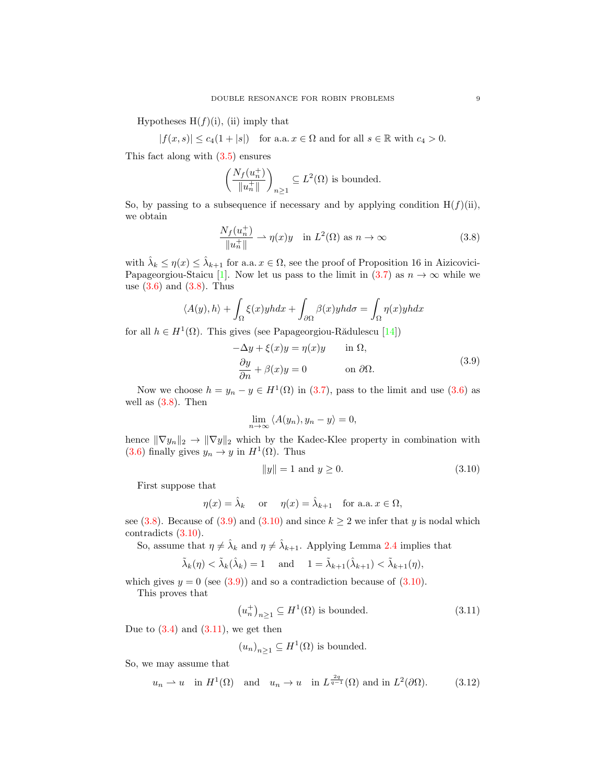Hypotheses  $H(f)(i)$ , (ii) imply that

 $|f(x, s)| \leq c_4(1+|s|)$  for a.a.  $x \in \Omega$  and for all  $s \in \mathbb{R}$  with  $c_4 > 0$ .

This fact along with [\(3.5\)](#page-7-3) ensures

$$
\left(\frac{N_f(u_n^+)}{\|u_n^+\|}\right)_{n\geq 1}\subseteq L^2(\Omega)
$$
 is bounded.

So, by passing to a subsequence if necessary and by applying condition  $H(f)(ii)$ , we obtain

<span id="page-8-0"></span>
$$
\frac{N_f(u_n^+)}{\|u_n^+\|} \rightharpoonup \eta(x)y \quad \text{in } L^2(\Omega) \text{ as } n \to \infty \tag{3.8}
$$

with  $\hat{\lambda}_k \leq \eta(x) \leq \hat{\lambda}_{k+1}$  for a.a.  $x \in \Omega$ , see the proof of Proposition 16 in Aizicovici-Papageorgiou-Staicu [\[1\]](#page-21-9). Now let us pass to the limit in [\(3.7\)](#page-7-4) as  $n \to \infty$  while we use  $(3.6)$  and  $(3.8)$ . Thus

$$
\langle A(y), h \rangle + \int_{\Omega} \xi(x) y h dx + \int_{\partial \Omega} \beta(x) y h d\sigma = \int_{\Omega} \eta(x) y h dx
$$

for all  $h \in H^1(\Omega)$ . This gives (see Papageorgiou-Rădulescu [\[14\]](#page-22-6))

<span id="page-8-1"></span>
$$
-\Delta y + \xi(x)y = \eta(x)y \quad \text{in } \Omega,
$$
  

$$
\frac{\partial y}{\partial n} + \beta(x)y = 0 \quad \text{on } \partial\Omega.
$$
 (3.9)

Now we choose  $h = y_n - y \in H^1(\Omega)$  in [\(3.7\)](#page-7-4), pass to the limit and use [\(3.6\)](#page-7-5) as well as  $(3.8)$ . Then

$$
\lim_{n \to \infty} \langle A(y_n), y_n - y \rangle = 0,
$$

hence  $\|\nabla y_n\|_2 \to \|\nabla y\|_2$  which by the Kadec-Klee property in combination with [\(3.6\)](#page-7-5) finally gives  $y_n \to y$  in  $H^1(\Omega)$ . Thus

<span id="page-8-2"></span>
$$
||y|| = 1 \text{ and } y \ge 0. \tag{3.10}
$$

First suppose that

$$
\eta(x) = \hat{\lambda}_k
$$
 or  $\eta(x) = \hat{\lambda}_{k+1}$  for a.a.  $x \in \Omega$ ,

see [\(3.8\)](#page-8-0). Because of [\(3.9\)](#page-8-1) and [\(3.10\)](#page-8-2) and since  $k \ge 2$  we infer that y is nodal which contradicts [\(3.10\)](#page-8-2).

So, assume that  $\eta \neq \hat{\lambda}_k$  and  $\eta \neq \hat{\lambda}_{k+1}$ . Applying Lemma [2.4](#page-4-1) implies that

$$
\tilde{\lambda}_k(\eta) < \tilde{\lambda}_k(\hat{\lambda}_k) = 1 \quad \text{and} \quad 1 = \tilde{\lambda}_{k+1}(\hat{\lambda}_{k+1}) < \tilde{\lambda}_{k+1}(\eta),
$$

which gives  $y = 0$  (see  $(3.9)$ ) and so a contradiction because of  $(3.10)$ .

This proves that

<span id="page-8-3"></span>
$$
(u_n^+)_{n\geq 1} \subseteq H^1(\Omega) \text{ is bounded.} \tag{3.11}
$$

Due to  $(3.4)$  and  $(3.11)$ , we get then

<span id="page-8-4"></span>
$$
(u_n)_{n\geq 1} \subseteq H^1(\Omega)
$$
 is bounded.

So, we may assume that

$$
u_n \rightharpoonup u
$$
 in  $H^1(\Omega)$  and  $u_n \to u$  in  $L^{\frac{2q}{q-1}}(\Omega)$  and in  $L^2(\partial\Omega)$ . (3.12)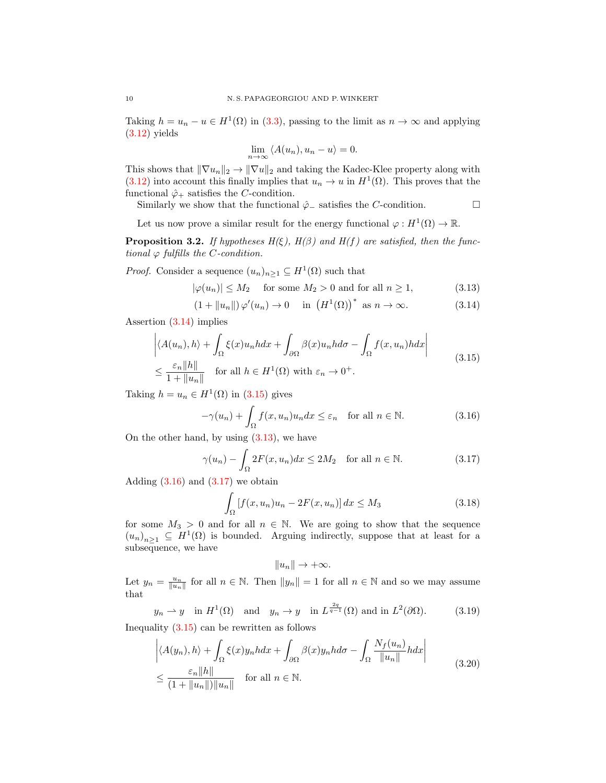Taking  $h = u_n - u \in H^1(\Omega)$  in [\(3.3\)](#page-7-1), passing to the limit as  $n \to \infty$  and applying  $(3.12)$  yields

<span id="page-9-2"></span><span id="page-9-0"></span>
$$
\lim_{n \to \infty} \langle A(u_n), u_n - u \rangle = 0.
$$

This shows that  $\|\nabla u_n\|_2 \to \|\nabla u\|_2$  and taking the Kadec-Klee property along with  $(3.12)$  into account this finally implies that  $u_n \to u$  in  $H^1(\Omega)$ . This proves that the functional  $\hat{\varphi}_+$  satisfies the *C*-condition.

Similarly we show that the functional  $\hat{\varphi}_-$  satisfies the *C*-condition. □

Let us now prove a similar result for the energy functional  $\varphi: H^1(\Omega) \to \mathbb{R}$ .

<span id="page-9-8"></span>**Proposition 3.2.** If hypotheses  $H(\xi)$ ,  $H(\beta)$  and  $H(f)$  are satisfied, then the functional  $\varphi$  fulfills the *C*-condition.

*Proof.* Consider a sequence  $(u_n)_{n\geq 1} \subseteq H^1(\Omega)$  such that

$$
|\varphi(u_n)| \le M_2 \quad \text{ for some } M_2 > 0 \text{ and for all } n \ge 1,
$$
 (3.13)

$$
(1 + \|u_n\|)\varphi'(u_n) \to 0 \quad \text{in } (H^1(\Omega))^* \text{ as } n \to \infty.
$$
 (3.14)

Assertion [\(3.14\)](#page-9-0) implies

$$
\left| \langle A(u_n), h \rangle + \int_{\Omega} \xi(x) u_n h dx + \int_{\partial \Omega} \beta(x) u_n h d\sigma - \int_{\Omega} f(x, u_n) h dx \right|
$$
  

$$
\leq \frac{\varepsilon_n \|h\|}{1 + \|u_n\|} \quad \text{for all } h \in H^1(\Omega) \text{ with } \varepsilon_n \to 0^+.
$$
 (3.15)

Taking  $h = u_n \in H^1(\Omega)$  in [\(3.15\)](#page-9-1) gives

<span id="page-9-1"></span>
$$
-\gamma(u_n) + \int_{\Omega} f(x, u_n)u_n dx \le \varepsilon_n \quad \text{for all } n \in \mathbb{N}.
$$
 (3.16)

On the other hand, by using  $(3.13)$ , we have

$$
\gamma(u_n) - \int_{\Omega} 2F(x, u_n) dx \le 2M_2 \quad \text{for all } n \in \mathbb{N}.
$$
 (3.17)

Adding  $(3.16)$  and  $(3.17)$  we obtain

$$
\int_{\Omega} \left[ f(x, u_n) u_n - 2F(x, u_n) \right] dx \le M_3 \tag{3.18}
$$

for some  $M_3 > 0$  and for all  $n \in \mathbb{N}$ . We are going to show that the sequence  $(u_n)_{n\geq 1} \subseteq H^1(\Omega)$  is bounded. Arguing indirectly, suppose that at least for a subsequence, we have

<span id="page-9-7"></span><span id="page-9-6"></span><span id="page-9-5"></span><span id="page-9-4"></span><span id="page-9-3"></span>
$$
||u_n|| \to +\infty.
$$

Let  $y_n = \frac{u_n}{\|u_n\|}$  for all  $n \in \mathbb{N}$ . Then  $\|y_n\| = 1$  for all  $n \in \mathbb{N}$  and so we may assume that

$$
y_n \rightharpoonup y
$$
 in  $H^1(\Omega)$  and  $y_n \rightharpoonup y$  in  $L^{\frac{2q}{q-1}}(\Omega)$  and in  $L^2(\partial\Omega)$ . (3.19)

Inequality  $(3.15)$  can be rewritten as follows

$$
\left| \langle A(y_n), h \rangle + \int_{\Omega} \xi(x) y_n h dx + \int_{\partial \Omega} \beta(x) y_n h d\sigma - \int_{\Omega} \frac{N_f(u_n)}{\|u_n\|} h dx \right|
$$
  

$$
\leq \frac{\varepsilon_n \|h\|}{(1 + \|u_n\|) \|u_n\|} \quad \text{for all } n \in \mathbb{N}.
$$
 (3.20)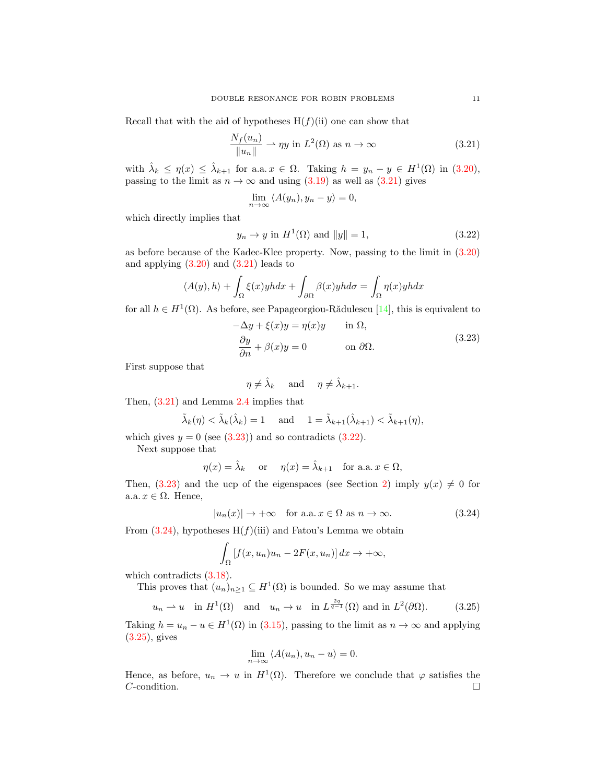Recall that with the aid of hypotheses  $H(f)(ii)$  one can show that

$$
\frac{N_f(u_n)}{\|u_n\|} \to \eta y \text{ in } L^2(\Omega) \text{ as } n \to \infty \tag{3.21}
$$

with  $\hat{\lambda}_k \leq \eta(x) \leq \hat{\lambda}_{k+1}$  for a.a.  $x \in \Omega$ . Taking  $h = y_n - y \in H^1(\Omega)$  in [\(3.20\)](#page-9-5), passing to the limit as  $n \to \infty$  and using [\(3.19\)](#page-9-6) as well as [\(3.21\)](#page-10-0) gives

<span id="page-10-2"></span><span id="page-10-0"></span>
$$
\lim_{n \to \infty} \langle A(y_n), y_n - y \rangle = 0,
$$

which directly implies that

$$
y_n \to y \text{ in } H^1(\Omega) \text{ and } ||y|| = 1,
$$
\n(3.22)

as before because of the Kadec-Klee property. Now, passing to the limit in [\(3.20\)](#page-9-5) and applying  $(3.20)$  and  $(3.21)$  leads to

$$
\langle A(y), h \rangle + \int_{\Omega} \xi(x) y h dx + \int_{\partial \Omega} \beta(x) y h d\sigma = \int_{\Omega} \eta(x) y h dx
$$

for all  $h \in H^1(\Omega)$ . As before, see Papageorgiou-Rădulescu [\[14\]](#page-22-6), this is equivalent to

<span id="page-10-1"></span>
$$
-\Delta y + \xi(x)y = \eta(x)y \quad \text{in } \Omega,
$$
  

$$
\frac{\partial y}{\partial n} + \beta(x)y = 0 \quad \text{on } \partial\Omega.
$$
 (3.23)

First suppose that

$$
\eta \neq \hat{\lambda}_k
$$
 and  $\eta \neq \hat{\lambda}_{k+1}$ .

Then, [\(3.21\)](#page-10-0) and Lemma [2.4](#page-4-1) implies that

$$
\tilde{\lambda}_k(\eta) < \tilde{\lambda}_k(\hat{\lambda}_k) = 1 \quad \text{and} \quad 1 = \tilde{\lambda}_{k+1}(\hat{\lambda}_{k+1}) < \tilde{\lambda}_{k+1}(\eta),
$$

which gives  $y = 0$  (see [\(3.23\)](#page-10-1)) and so contradicts [\(3.22\)](#page-10-2).

Next suppose that

$$
\eta(x) = \hat{\lambda}_k
$$
 or  $\eta(x) = \hat{\lambda}_{k+1}$  for a.a.  $x \in \Omega$ ,

Then, [\(3.23\)](#page-10-1) and the ucp of the eigenspaces (see Section [2\)](#page-1-0) imply  $y(x) \neq 0$  for a.a.  $x \in \Omega$ . Hence,

$$
|u_n(x)| \to +\infty \quad \text{for a.a. } x \in \Omega \text{ as } n \to \infty. \tag{3.24}
$$

From  $(3.24)$ , hypotheses H $(f)(iii)$  and Fatou's Lemma we obtain

<span id="page-10-3"></span>
$$
\int_{\Omega} \left[ f(x, u_n) u_n - 2F(x, u_n) \right] dx \to +\infty,
$$

which contradicts  $(3.18)$ .

This proves that  $(u_n)_{n\geq 1} \subseteq H^1(\Omega)$  is bounded. So we may assume that

$$
u_n \rightharpoonup u
$$
 in  $H^1(\Omega)$  and  $u_n \to u$  in  $L^{\frac{2q}{q-1}}(\Omega)$  and in  $L^2(\partial\Omega)$ . (3.25)

Taking  $h = u_n - u \in H^1(\Omega)$  in [\(3.15\)](#page-9-1), passing to the limit as  $n \to \infty$  and applying [\(3.25\)](#page-10-4), gives

<span id="page-10-4"></span>
$$
\lim_{n \to \infty} \langle A(u_n), u_n - u \rangle = 0.
$$

Hence, as before,  $u_n \to u$  in  $H^1(\Omega)$ . Therefore we conclude that  $\varphi$  satisfies the  $C$ -condition.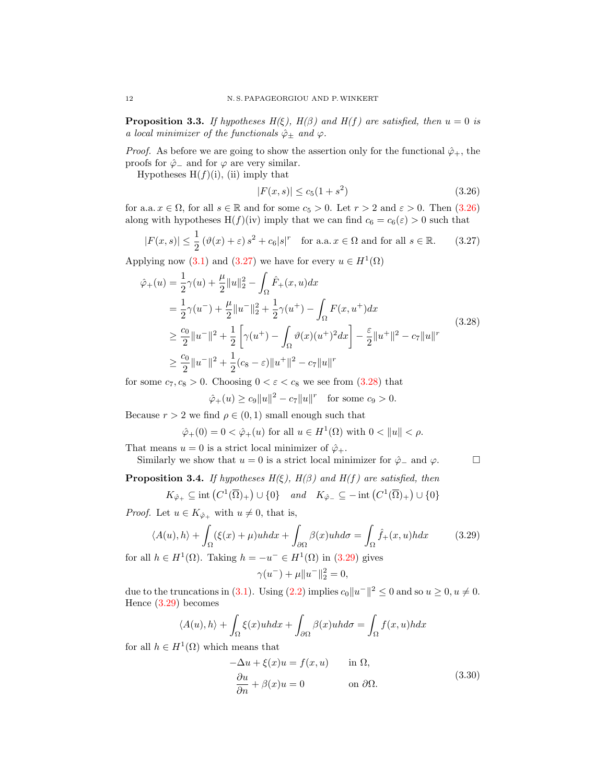<span id="page-11-6"></span>**Proposition 3.3.** If hypotheses  $H(\xi)$ ,  $H(\beta)$  and  $H(f)$  are satisfied, then  $u = 0$  is a local minimizer of the functionals  $\hat{\varphi}_{\pm}$  and  $\varphi$ .

*Proof.* As before we are going to show the assertion only for the functional  $\hat{\varphi}_+$ , the proofs for  $\hat{\varphi}$  and for  $\varphi$  are very similar.

Hypotheses  $H(f)(i)$ , (ii) imply that

<span id="page-11-2"></span><span id="page-11-1"></span><span id="page-11-0"></span>
$$
|F(x,s)| \le c_5(1+s^2) \tag{3.26}
$$

for a.a.  $x \in \Omega$ , for all  $s \in \mathbb{R}$  and for some  $c_5 > 0$ . Let  $r > 2$  and  $\varepsilon > 0$ . Then  $(3.26)$ along with hypotheses  $H(f)(iv)$  imply that we can find  $c_6 = c_6(\varepsilon) > 0$  such that

$$
|F(x,s)| \le \frac{1}{2} \left(\vartheta(x) + \varepsilon\right) s^2 + c_6 |s|^r \quad \text{for a.a.} \ x \in \Omega \text{ and for all } s \in \mathbb{R}.\tag{3.27}
$$

Applying now [\(3.1\)](#page-6-0) and [\(3.27\)](#page-11-1) we have for every  $u \in H^1(\Omega)$ 

$$
\hat{\varphi}_{+}(u) = \frac{1}{2}\gamma(u) + \frac{\mu}{2}||u||_{2}^{2} - \int_{\Omega}\hat{F}_{+}(x, u)dx \n= \frac{1}{2}\gamma(u^{-}) + \frac{\mu}{2}||u^{-}||_{2}^{2} + \frac{1}{2}\gamma(u^{+}) - \int_{\Omega}F(x, u^{+})dx \n\geq \frac{c_{0}}{2}||u^{-}||^{2} + \frac{1}{2}\left[\gamma(u^{+}) - \int_{\Omega}\vartheta(x)(u^{+})^{2}dx\right] - \frac{\varepsilon}{2}||u^{+}||^{2} - c_{7}||u||^{r} \n\geq \frac{c_{0}}{2}||u^{-}||^{2} + \frac{1}{2}(c_{8} - \varepsilon)||u^{+}||^{2} - c_{7}||u||^{r}
$$
\n(3.28)

for some  $c_7, c_8 > 0$ . Choosing  $0 < \varepsilon < c_8$  we see from  $(3.28)$  that

$$
\hat{\varphi}_+(u) \ge c_9 \|u\|^2 - c_7 \|u\|^r
$$
 for some  $c_9 > 0$ .

Because  $r > 2$  we find  $\rho \in (0, 1)$  small enough such that

$$
\hat{\varphi}_+(0) = 0 < \hat{\varphi}_+(u) \text{ for all } u \in H^1(\Omega) \text{ with } 0 < \|u\| < \rho.
$$

That means  $u = 0$  is a strict local minimizer of  $\hat{\varphi}_+$ .

Similarly we show that  $u = 0$  is a strict local minimizer for  $\hat{\varphi}_-$  and  $\varphi$ .  $\Box$ 

<span id="page-11-5"></span>**Proposition 3.4.** If hypotheses  $H(\xi)$ ,  $H(\beta)$  and  $H(f)$  are satisfied, then

$$
K_{\hat{\varphi}_+} \subseteq \mathrm{int}\left(C^1(\overline{\Omega})_+ \right) \cup \{0\} \quad \text{and} \quad K_{\hat{\varphi}_-} \subseteq -\mathrm{int}\left(C^1(\overline{\Omega})_+ \right) \cup \{0\}
$$

*Proof.* Let  $u \in K_{\hat{\varphi}_+}$  with  $u \neq 0$ , that is,

$$
\langle A(u), h \rangle + \int_{\Omega} (\xi(x) + \mu)u h dx + \int_{\partial \Omega} \beta(x)u h d\sigma = \int_{\Omega} \hat{f}_{+}(x, u) h dx \qquad (3.29)
$$

for all  $h \in H^1(\Omega)$ . Taking  $h = -u^- \in H^1(\Omega)$  in  $(3.29)$  gives

<span id="page-11-3"></span>
$$
\gamma(u^-) + \mu \|u^-\|_2^2 = 0,
$$

due to the truncations in [\(3.1\)](#page-6-0). Using [\(2.2\)](#page-3-0) implies  $c_0||u^-||^2 \leq 0$  and so  $u \geq 0, u \neq 0$ . Hence [\(3.29\)](#page-11-3) becomes

$$
\langle A(u), h \rangle + \int_{\Omega} \xi(x)u h dx + \int_{\partial \Omega} \beta(x)u h d\sigma = \int_{\Omega} f(x, u) h dx
$$

for all  $h \in H^1(\Omega)$  which means that

<span id="page-11-4"></span>
$$
-\Delta u + \xi(x)u = f(x, u) \quad \text{in } \Omega,
$$
  
\n
$$
\frac{\partial u}{\partial n} + \beta(x)u = 0 \quad \text{on } \partial\Omega.
$$
\n(3.30)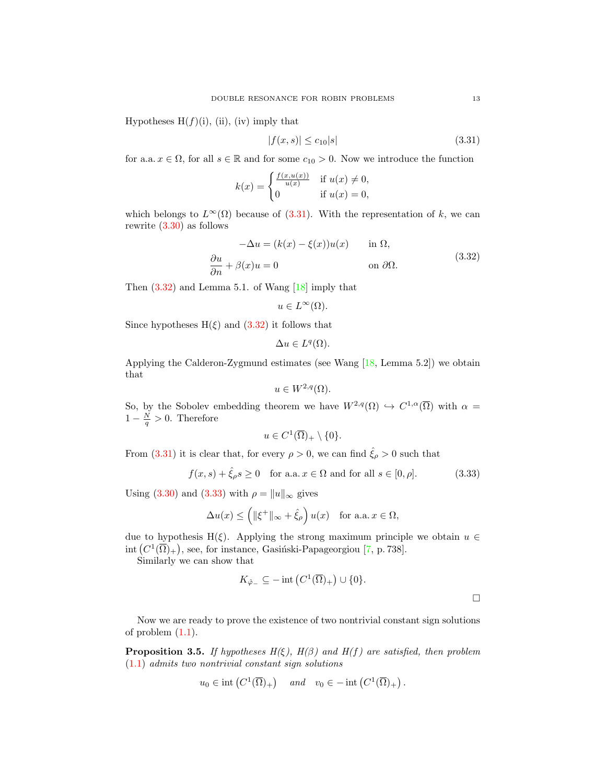Hypotheses  $H(f)(i)$ , (ii), (iv) imply that

<span id="page-12-0"></span>
$$
|f(x,s)| \le c_{10}|s| \tag{3.31}
$$

for a.a.  $x \in \Omega$ , for all  $s \in \mathbb{R}$  and for some  $c_{10} > 0$ . Now we introduce the function

$$
k(x) = \begin{cases} \frac{f(x, u(x))}{u(x)} & \text{if } u(x) \neq 0, \\ 0 & \text{if } u(x) = 0, \end{cases}
$$

which belongs to  $L^{\infty}(\Omega)$  because of [\(3.31\)](#page-12-0). With the representation of k, we can rewrite [\(3.30\)](#page-11-4) as follows

<span id="page-12-1"></span>
$$
-\Delta u = (k(x) - \xi(x))u(x) \quad \text{in } \Omega,
$$
  
\n
$$
\frac{\partial u}{\partial n} + \beta(x)u = 0 \quad \text{on } \partial\Omega.
$$
\n(3.32)

Then  $(3.32)$  and Lemma 5.1. of Wang  $[18]$  imply that

$$
u \in L^{\infty}(\Omega).
$$

Since hypotheses  $H(\xi)$  and  $(3.32)$  it follows that

$$
\Delta u \in L^q(\Omega).
$$

Applying the Calderon-Zygmund estimates (see Wang [\[18,](#page-22-5) Lemma 5.2]) we obtain that

$$
u \in W^{2,q}(\Omega).
$$

So, by the Sobolev embedding theorem we have  $W^{2,q}(\Omega) \hookrightarrow C^{1,\alpha}(\overline{\Omega})$  with  $\alpha =$  $1-\frac{N}{q} > 0$ . Therefore

$$
u \in C^1(\overline{\Omega})_+ \setminus \{0\}.
$$

From [\(3.31\)](#page-12-0) it is clear that, for every  $\rho > 0$ , we can find  $\hat{\xi}_{\rho} > 0$  such that

$$
f(x,s) + \hat{\xi}_{\rho}s \ge 0 \quad \text{for a.a. } x \in \Omega \text{ and for all } s \in [0,\rho].
$$
 (3.33)

Using [\(3.30\)](#page-11-4) and [\(3.33\)](#page-12-2) with  $\rho = ||u||_{\infty}$  gives

$$
\Delta u(x) \le \left( \|\xi^+\|_{\infty} + \hat{\xi}_{\rho} \right) u(x) \quad \text{for a.a. } x \in \Omega,
$$

due to hypothesis H( $\xi$ ). Applying the strong maximum principle we obtain  $u \in$ int  $(C^1(\overline{\Omega})_+)$ , see, for instance, Gasiński-Papageorgiou [\[7,](#page-21-6) p. 738].

Similarly we can show that

$$
K_{\hat{\varphi}_-} \subseteq -\operatorname{int}\left(C^1(\overline{\Omega})_+\right) \cup \{0\}.
$$

<span id="page-12-2"></span> $\Box$ 

Now we are ready to prove the existence of two nontrivial constant sign solutions of problem  $(1.1)$ .

<span id="page-12-3"></span>**Proposition 3.5.** If hypotheses  $H(\xi)$ ,  $H(\beta)$  and  $H(f)$  are satisfied, then problem [\(1.1\)](#page-0-0) admits two nontrivial constant sign solutions

$$
u_0 \in \text{int}\left(C^1(\overline{\Omega})_+\right) \quad \text{and} \quad v_0 \in -\text{int}\left(C^1(\overline{\Omega})_+\right).
$$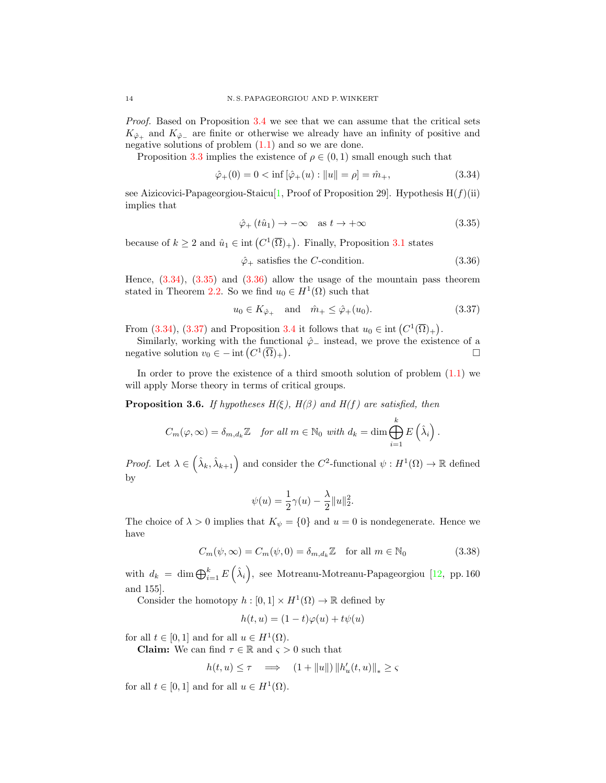Proof. Based on Proposition [3.4](#page-11-5) we see that we can assume that the critical sets  $K_{\hat{\varphi}_+}$  and  $K_{\hat{\varphi}_-}$  are finite or otherwise we already have an infinity of positive and negative solutions of problem  $(1.1)$  and so we are done.

Proposition [3.3](#page-11-6) implies the existence of  $\rho \in (0,1)$  small enough such that

$$
\hat{\varphi}_+(0) = 0 < \inf\left[\hat{\varphi}_+(u) : \|u\| = \rho\right] = \hat{m}_+, \tag{3.34}
$$

see Aizicovici-Papageorgiou-Staicu[\[1,](#page-21-9) Proof of Proposition 29]. Hypothesis  $H(f)(ii)$ implies that

<span id="page-13-1"></span><span id="page-13-0"></span>
$$
\hat{\varphi}_+(t\hat{u}_1) \to -\infty \quad \text{as } t \to +\infty \tag{3.35}
$$

because of  $k \geq 2$  and  $\hat{u}_1 \in \text{int}(C^1(\overline{\Omega})_+)$ . Finally, Proposition [3.1](#page-7-6) states

<span id="page-13-3"></span><span id="page-13-2"></span>
$$
\hat{\varphi}_+ \text{ satisfies the } C\text{-condition.} \tag{3.36}
$$

Hence,  $(3.34)$ ,  $(3.35)$  and  $(3.36)$  allow the usage of the mountain pass theorem stated in Theorem [2.2.](#page-1-1) So we find  $u_0 \in H^1(\Omega)$  such that

$$
u_0 \in K_{\hat{\varphi}_+} \quad \text{and} \quad \hat{m}_+ \le \hat{\varphi}_+(u_0). \tag{3.37}
$$

From [\(3.34\)](#page-13-0), [\(3.37\)](#page-13-3) and Proposition [3.4](#page-11-5) it follows that  $u_0 \in \text{int}(C^1(\overline{\Omega})_+)$ .

Similarly, working with the functional  $\hat{\varphi}$  instead, we prove the existence of a negative solution  $v_0 \in - \text{int} (C^1(\overline{\Omega})_+)$ .

In order to prove the existence of a third smooth solution of problem [\(1.1\)](#page-0-0) we will apply Morse theory in terms of critical groups.

<span id="page-13-5"></span>**Proposition 3.6.** If hypotheses  $H(\xi)$ ,  $H(\beta)$  and  $H(f)$  are satisfied, then

$$
C_m(\varphi,\infty) = \delta_{m,d_k} \mathbb{Z} \quad \text{for all } m \in \mathbb{N}_0 \text{ with } d_k = \dim \bigoplus_{i=1}^k E\left(\hat{\lambda}_i\right).
$$

*Proof.* Let  $\lambda \in (\hat{\lambda}_k, \hat{\lambda}_{k+1})$  and consider the  $C^2$ -functional  $\psi : H^1(\Omega) \to \mathbb{R}$  defined by

<span id="page-13-4"></span>
$$
\psi(u) = \frac{1}{2}\gamma(u) - \frac{\lambda}{2}||u||_2^2.
$$

The choice of  $\lambda > 0$  implies that  $K_{\psi} = \{0\}$  and  $u = 0$  is nondegenerate. Hence we have

$$
C_m(\psi, \infty) = C_m(\psi, 0) = \delta_{m, d_k} \mathbb{Z} \quad \text{for all } m \in \mathbb{N}_0
$$
 (3.38)

with  $d_k = \dim \bigoplus_{i=1}^k E(\hat{\lambda}_i)$ , see Motreanu-Motreanu-Papageorgiou [\[12,](#page-21-8) pp. 160] and 155].

Consider the homotopy  $h: [0,1] \times H^1(\Omega) \to \mathbb{R}$  defined by

$$
h(t, u) = (1 - t)\varphi(u) + t\psi(u)
$$

for all  $t \in [0,1]$  and for all  $u \in H^1(\Omega)$ .

**Claim:** We can find  $\tau \in \mathbb{R}$  and  $\varsigma > 0$  such that

$$
h(t, u) \le \tau \quad \Longrightarrow \quad (1 + \|u\|) \left\|h_u'(t, u)\right\|_* \ge \varsigma
$$

for all  $t \in [0,1]$  and for all  $u \in H^1(\Omega)$ .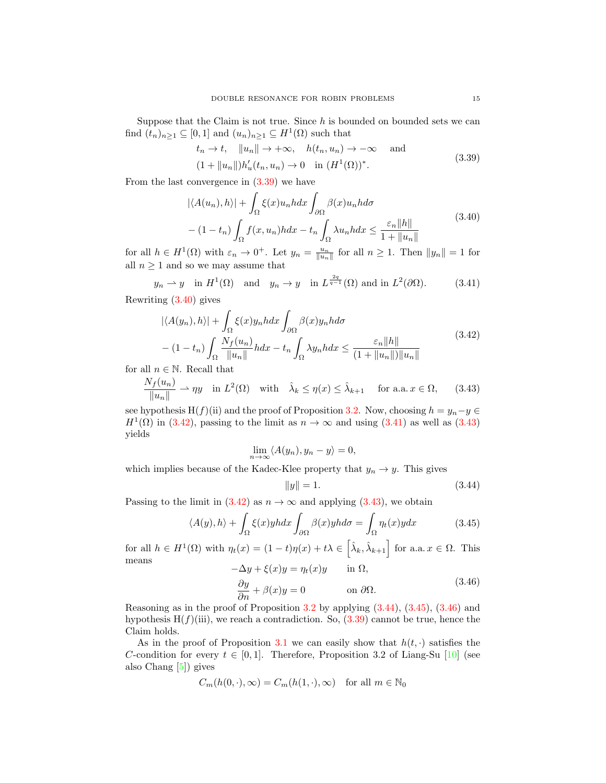Suppose that the Claim is not true. Since  $h$  is bounded on bounded sets we can find  $(t_n)_{n\geq 1} \subseteq [0,1]$  and  $(u_n)_{n\geq 1} \subseteq H^1(\Omega)$  such that

<span id="page-14-1"></span><span id="page-14-0"></span>
$$
t_n \to t, \quad \|u_n\| \to +\infty, \quad h(t_n, u_n) \to -\infty \quad \text{and}
$$
  

$$
(1 + \|u_n\|)h'_u(t_n, u_n) \to 0 \quad \text{in } (H^1(\Omega))^*.
$$
 (3.39)

From the last convergence in [\(3.39\)](#page-14-0) we have

$$
|\langle A(u_n), h \rangle| + \int_{\Omega} \xi(x) u_n h dx \int_{\partial \Omega} \beta(x) u_n h d\sigma
$$
  
-(1-t<sub>n</sub>)  $\int_{\Omega} f(x, u_n) h dx - t_n \int_{\Omega} \lambda u_n h dx \le \frac{\varepsilon_n ||h||}{1 + ||u_n||}$  (3.40)

for all  $h \in H^1(\Omega)$  with  $\varepsilon_n \to 0^+$ . Let  $y_n = \frac{u_n}{\|u_n\|}$  for all  $n \ge 1$ . Then  $\|y_n\| = 1$  for all  $n\geq 1$  and so we may assume that

$$
y_n \to y
$$
 in  $H^1(\Omega)$  and  $y_n \to y$  in  $L^{\frac{2q}{q-1}}(\Omega)$  and in  $L^2(\partial\Omega)$ . (3.41)

Rewriting [\(3.40\)](#page-14-1) gives

$$
|\langle A(y_n), h \rangle| + \int_{\Omega} \xi(x) y_n h dx \int_{\partial \Omega} \beta(x) y_n h d\sigma
$$
  
-(1-t<sub>n</sub>) 
$$
\int_{\Omega} \frac{N_f(u_n)}{\|u_n\|} h dx - t_n \int_{\Omega} \lambda y_n h dx \le \frac{\varepsilon_n \|h\|}{(1 + \|u_n\|) \|u_n\|}
$$
(3.42)

for all  $n \in \mathbb{N}$ . Recall that

$$
\frac{N_f(u_n)}{\|u_n\|} \rightharpoonup \eta y \quad \text{in } L^2(\Omega) \quad \text{with} \quad \hat{\lambda}_k \le \eta(x) \le \hat{\lambda}_{k+1} \quad \text{for a.a. } x \in \Omega,\tag{3.43}
$$

see hypothesis H(f)(ii) and the proof of Proposition [3.2.](#page-9-8) Now, choosing  $h = y_n - y \in$  $H^1(\Omega)$  in [\(3.42\)](#page-14-2), passing to the limit as  $n \to \infty$  and using [\(3.41\)](#page-14-3) as well as [\(3.43\)](#page-14-4) yields

$$
\lim_{n \to \infty} \langle A(y_n), y_n - y \rangle = 0,
$$

which implies because of the Kadec-Klee property that  $y_n \to y$ . This gives

<span id="page-14-6"></span><span id="page-14-5"></span><span id="page-14-4"></span><span id="page-14-3"></span><span id="page-14-2"></span>
$$
||y|| = 1.
$$
\n(3.44)

Passing to the limit in  $(3.42)$  as  $n \to \infty$  and applying  $(3.43)$ , we obtain

$$
\langle A(y), h \rangle + \int_{\Omega} \xi(x) y h dx \int_{\partial \Omega} \beta(x) y h d\sigma = \int_{\Omega} \eta_t(x) y dx \tag{3.45}
$$

for all  $h \in H^1(\Omega)$  with  $\eta_t(x) = (1-t)\eta(x) + t\lambda \in \left[\hat{\lambda}_k, \hat{\lambda}_{k+1}\right]$  for a.a.  $x \in \Omega$ . This means

<span id="page-14-7"></span>
$$
-\Delta y + \xi(x)y = \eta_t(x)y \quad \text{in } \Omega,
$$
  

$$
\frac{\partial y}{\partial n} + \beta(x)y = 0 \quad \text{on } \partial\Omega.
$$
 (3.46)

Reasoning as in the proof of Proposition  $3.2$  by applying  $(3.44)$ ,  $(3.45)$ ,  $(3.46)$  and hypothesis  $H(f)(iii)$ , we reach a contradiction. So,  $(3.39)$  cannot be true, hence the Claim holds.

As in the proof of Proposition [3.1](#page-7-6) we can easily show that  $h(t, \cdot)$  satisfies the C-condition for every  $t \in [0, 1]$ . Therefore, Proposition 3.2 of Liang-Su [\[10\]](#page-21-4) (see also Chang [\[5\]](#page-21-10)) gives

$$
C_m(h(0,\cdot),\infty) = C_m(h(1,\cdot),\infty) \quad \text{for all } m \in \mathbb{N}_0
$$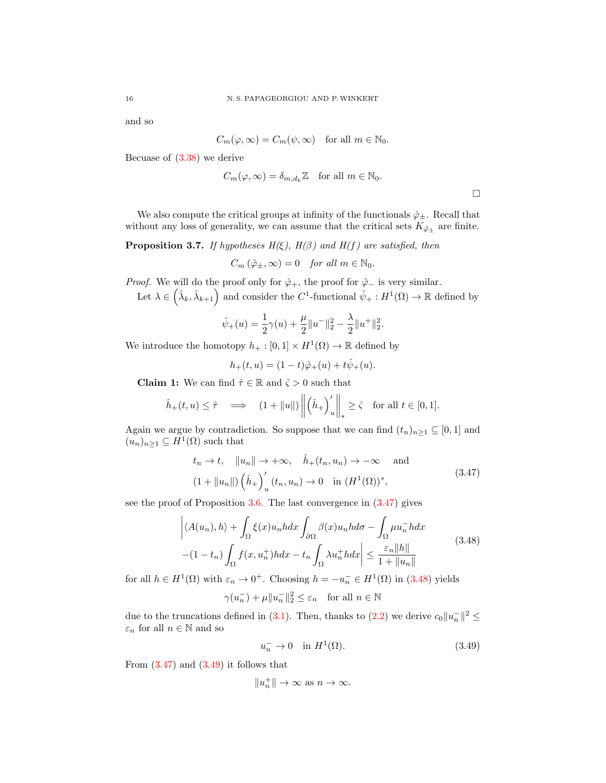and so

$$
C_m(\varphi,\infty) = C_m(\psi,\infty) \quad \text{for all } m \in \mathbb{N}_0.
$$

Becuase of [\(3.38\)](#page-13-4) we derive

$$
C_m(\varphi,\infty) = \delta_{m,d_k} \mathbb{Z} \quad \text{for all } m \in \mathbb{N}_0.
$$

 $\Box$ 

We also compute the critical groups at infinity of the functionals  $\hat{\varphi}_{\pm}$ . Recall that without any loss of generality, we can assume that the critical sets  $K_{\hat{\varphi}_{\pm}}$  are finite.

<span id="page-15-3"></span>**Proposition 3.7.** If hypotheses  $H(\xi)$ ,  $H(\beta)$  and  $H(f)$  are satisfied, then

$$
C_m\left(\hat{\varphi}_\pm,\infty\right) = 0 \quad \text{for all } m \in \mathbb{N}_0.
$$

*Proof.* We will do the proof only for  $\hat{\varphi}_+$ , the proof for  $\hat{\varphi}_-$  is very similar.

Let  $\lambda \in (\hat{\lambda}_k, \hat{\lambda}_{k+1})$  and consider the C<sup>1</sup>-functional  $\hat{\psi}_+ : H^1(\Omega) \to \mathbb{R}$  defined by

$$
\hat{\psi}_+(u) = \frac{1}{2}\gamma(u) + \frac{\mu}{2}||u^-||_2^2 - \frac{\lambda}{2}||u^+||_2^2.
$$

We introduce the homotopy  $h_+ : [0,1] \times H^1(\Omega) \to \mathbb{R}$  defined by

<span id="page-15-0"></span>
$$
h_+(t,u) = (1-t)\hat{\varphi}_+(u) + t\hat{\psi}_+(u).
$$

**Claim 1:** We can find  $\hat{\tau} \in \mathbb{R}$  and  $\hat{\varsigma} > 0$  such that

$$
\hat{h}_+(t,u) \leq \hat{\tau} \quad \Longrightarrow \quad (1 + \|u\|) \left\| \left(\hat{h}_+\right)'_u \right\|_* \geq \hat{\varsigma} \quad \text{for all } t \in [0,1].
$$

Again we argue by contradiction. So suppose that we can find  $(t_n)_{n\geq 1} \subseteq [0,1]$  and  $(u_n)_{n\geq 1} \subseteq H^1(\Omega)$  such that

$$
t_n \to t, \quad \|u_n\| \to +\infty, \quad \hat{h}_+(t_n, u_n) \to -\infty \quad \text{and}
$$
  

$$
(1 + \|u_n\|) \left(\hat{h}_+\right)_u'(t_n, u_n) \to 0 \quad \text{in } (H^1(\Omega))^*,
$$
 (3.47)

see the proof of Proposition [3.6.](#page-13-5) The last convergence in [\(3.47\)](#page-15-0) gives

$$
\left| \langle A(u_n), h \rangle + \int_{\Omega} \xi(x) u_n h dx \int_{\partial \Omega} \beta(x) u_n h d\sigma - \int_{\Omega} \mu u_n^{-} h dx \right|
$$
  
-(1 - t<sub>n</sub>) 
$$
\int_{\Omega} f(x, u_n^{+}) h dx - t_n \int_{\Omega} \lambda u_n^{+} h dx \right| \leq \frac{\varepsilon_n ||h||}{1 + ||u_n||}
$$
(3.48)

for all  $h \in H^1(\Omega)$  with  $\varepsilon_n \to 0^+$ . Choosing  $h = -u_n^- \in H^1(\Omega)$  in [\(3.48\)](#page-15-1) yields

$$
\gamma(u_n^-) + \mu \|u_n^-\|_2^2 \le \varepsilon_n \quad \text{for all } n \in \mathbb{N}
$$

due to the truncations defined in [\(3.1\)](#page-6-0). Then, thanks to [\(2.2\)](#page-3-0) we derive  $c_0 ||u_n||^2 \leq$  $\varepsilon_n$  for all  $n\in\mathbb{N}$  and so

<span id="page-15-2"></span><span id="page-15-1"></span>
$$
u_n^- \to 0 \quad \text{in } H^1(\Omega). \tag{3.49}
$$

From  $(3.47)$  and  $(3.49)$  it follows that

$$
||u_n^+|| \to \infty \text{ as } n \to \infty.
$$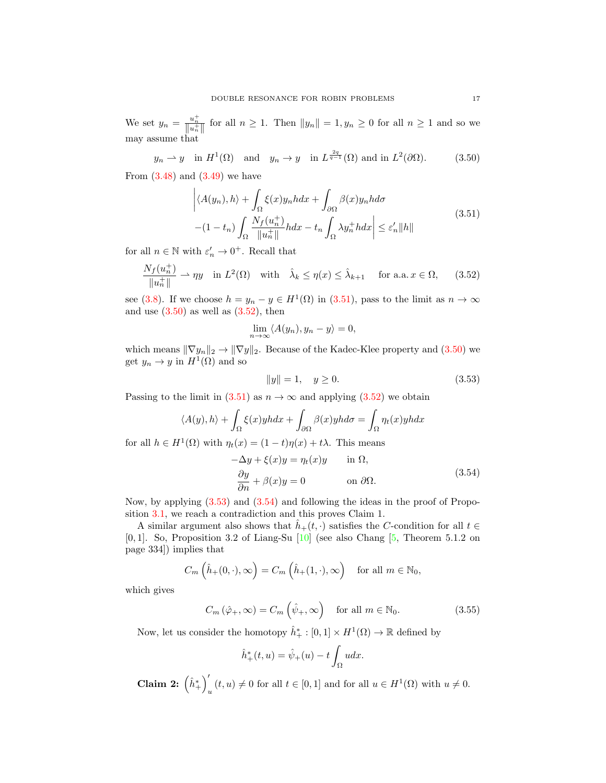We set  $y_n = \frac{u_n^+}{\|u_n^+\|}$  for all  $n \ge 1$ . Then  $\|y_n\| = 1, y_n \ge 0$  for all  $n \ge 1$  and so we may assume that

$$
y_n \rightharpoonup y
$$
 in  $H^1(\Omega)$  and  $y_n \to y$  in  $L^{\frac{2q}{q-1}}(\Omega)$  and in  $L^2(\partial\Omega)$ . (3.50)

From  $(3.48)$  and  $(3.49)$  we have

<span id="page-16-1"></span>
$$
\left| \langle A(y_n), h \rangle + \int_{\Omega} \xi(x) y_n h dx + \int_{\partial \Omega} \beta(x) y_n h d\sigma \right|
$$
  
-(1 - t<sub>n</sub>) 
$$
\int_{\Omega} \frac{N_f(u_n^+)}{\|u_n^+\|} h dx - t_n \int_{\Omega} \lambda y_n^+ h dx \right| \leq \varepsilon'_n \|h\|
$$
(3.51)

for all  $n \in \mathbb{N}$  with  $\varepsilon_n' \to 0^+$ . Recall that

$$
\frac{N_f(u_n^+)}{\|u_n^+\|} \rightharpoonup \eta y \quad \text{in } L^2(\Omega) \quad \text{with} \quad \hat{\lambda}_k \le \eta(x) \le \hat{\lambda}_{k+1} \quad \text{for a.a. } x \in \Omega,\tag{3.52}
$$

see [\(3.8\)](#page-8-0). If we choose  $h = y_n - y \in H^1(\Omega)$  in [\(3.51\)](#page-16-0), pass to the limit as  $n \to \infty$ and use  $(3.50)$  as well as  $(3.52)$ , then

<span id="page-16-2"></span><span id="page-16-0"></span>
$$
\lim_{n \to \infty} \langle A(y_n), y_n - y \rangle = 0,
$$

which means  $\|\nabla y_n\|_2 \to \|\nabla y\|_2$ . Because of the Kadec-Klee property and [\(3.50\)](#page-16-1) we get  $y_n \to y$  in  $H^1(\Omega)$  and so

<span id="page-16-3"></span>
$$
||y|| = 1, \quad y \ge 0. \tag{3.53}
$$

Passing to the limit in  $(3.51)$  as  $n \to \infty$  and applying  $(3.52)$  we obtain

$$
\langle A(y), h \rangle + \int_{\Omega} \xi(x) y h dx + \int_{\partial \Omega} \beta(x) y h d\sigma = \int_{\Omega} \eta_t(x) y h dx
$$

for all  $h \in H^1(\Omega)$  with  $\eta_t(x) = (1-t)\eta(x) + t\lambda$ . This means

<span id="page-16-4"></span>
$$
-\Delta y + \xi(x)y = \eta_t(x)y \quad \text{in } \Omega,
$$
  

$$
\frac{\partial y}{\partial n} + \beta(x)y = 0 \quad \text{on } \partial\Omega.
$$
 (3.54)

Now, by applying [\(3.53\)](#page-16-3) and [\(3.54\)](#page-16-4) and following the ideas in the proof of Proposition [3.1,](#page-7-6) we reach a contradiction and this proves Claim 1.

A similar argument also shows that  $\hat{h}_+(t, \cdot)$  satisfies the C-condition for all  $t \in$ [0,1]. So, Proposition 3.2 of Liang-Su  $[10]$  (see also Chang  $[5,$  Theorem 5.1.2 on page 334]) implies that

$$
C_m\left(\hat{h}_+(0,\cdot),\infty\right) = C_m\left(\hat{h}_+(1,\cdot),\infty\right) \quad \text{for all } m \in \mathbb{N}_0,
$$

which gives

$$
C_m\left(\hat{\varphi}_+,\infty\right) = C_m\left(\hat{\psi}_+,\infty\right) \quad \text{for all } m \in \mathbb{N}_0. \tag{3.55}
$$

Now, let us consider the homotopy  $\hat{h}_+^* : [0,1] \times H^1(\Omega) \to \mathbb{R}$  defined by

<span id="page-16-5"></span>
$$
\hat{h}^*_+(t,u) = \hat{\psi}_+(u) - t \int_{\Omega} u dx.
$$

Claim 2:  $\left(\hat{h}^*_+\right)'$  $u_{u}(t, u) \neq 0$  for all  $t \in [0, 1]$  and for all  $u \in H^{1}(\Omega)$  with  $u \neq 0$ .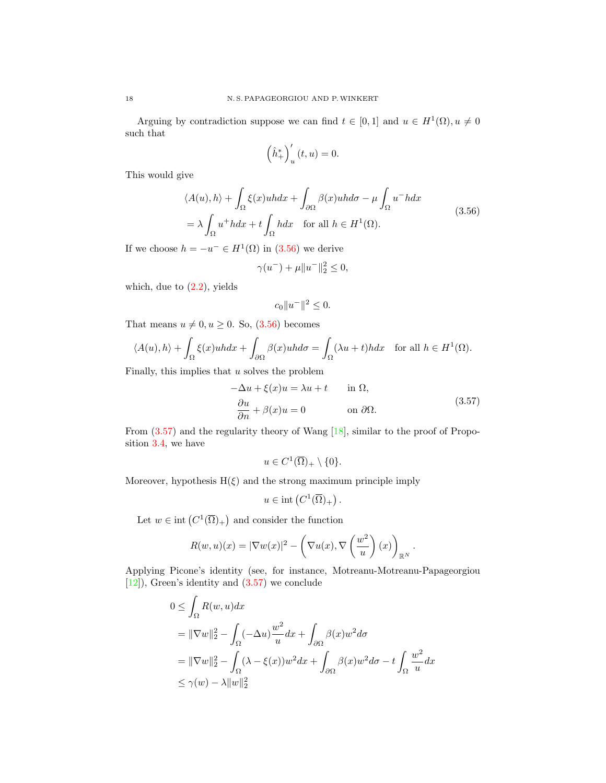Arguing by contradiction suppose we can find  $t \in [0,1]$  and  $u \in H^1(\Omega)$ ,  $u \neq 0$ such that

<span id="page-17-0"></span>
$$
\left(\hat{h}^*_+\right)'_u(t,u) = 0.
$$

This would give

$$
\langle A(u), h \rangle + \int_{\Omega} \xi(x)u h dx + \int_{\partial \Omega} \beta(x)u h d\sigma - \mu \int_{\Omega} u^{-} h dx
$$
  
=  $\lambda \int_{\Omega} u^{+} h dx + t \int_{\Omega} h dx$  for all  $h \in H^{1}(\Omega)$ . (3.56)

If we choose  $h = -u^- \in H^1(\Omega)$  in  $(3.56)$  we derive

$$
\gamma(u^{-}) + \mu \|u^{-}\|_{2}^{2} \leq 0,
$$

which, due to  $(2.2)$ , yields

$$
c_0\|u^-\|^2 \le 0.
$$

That means  $u \neq 0, u \geq 0$ . So,  $(3.56)$  becomes

$$
\langle A(u), h \rangle + \int_{\Omega} \xi(x)u h dx + \int_{\partial \Omega} \beta(x)u h d\sigma = \int_{\Omega} (\lambda u + t) h dx \quad \text{for all } h \in H^1(\Omega).
$$

Finally, this implies that  $u$  solves the problem

<span id="page-17-1"></span>
$$
-\Delta u + \xi(x)u = \lambda u + t \quad \text{in } \Omega,
$$
  
\n
$$
\frac{\partial u}{\partial n} + \beta(x)u = 0 \quad \text{on } \partial\Omega.
$$
\n(3.57)

From  $(3.57)$  and the regularity theory of Wang [\[18\]](#page-22-5), similar to the proof of Proposition [3.4,](#page-11-5) we have

$$
u \in C^1(\overline{\Omega})_+ \setminus \{0\}.
$$

Moreover, hypothesis  $H(\xi)$  and the strong maximum principle imply

$$
u \in \text{int}\left(C^1(\overline{\Omega})_+\right).
$$

Let  $w \in \text{int}(C^1(\overline{\Omega})_+)$  and consider the function

$$
R(w, u)(x) = |\nabla w(x)|^2 - \left(\nabla u(x), \nabla \left(\frac{w^2}{u}\right)(x)\right)_{\mathbb{R}^N}.
$$

Applying Picone's identity (see, for instance, Motreanu-Motreanu-Papageorgiou [\[12\]](#page-21-8)), Green's identity and [\(3.57\)](#page-17-1) we conclude

$$
0 \leq \int_{\Omega} R(w, u) dx
$$
  
=  $\|\nabla w\|_2^2 - \int_{\Omega} (-\Delta u) \frac{w^2}{u} dx + \int_{\partial \Omega} \beta(x) w^2 d\sigma$   
=  $\|\nabla w\|_2^2 - \int_{\Omega} (\lambda - \xi(x)) w^2 dx + \int_{\partial \Omega} \beta(x) w^2 d\sigma - t \int_{\Omega} \frac{w^2}{u} dx$   
 $\leq \gamma(w) - \lambda \|w\|_2^2$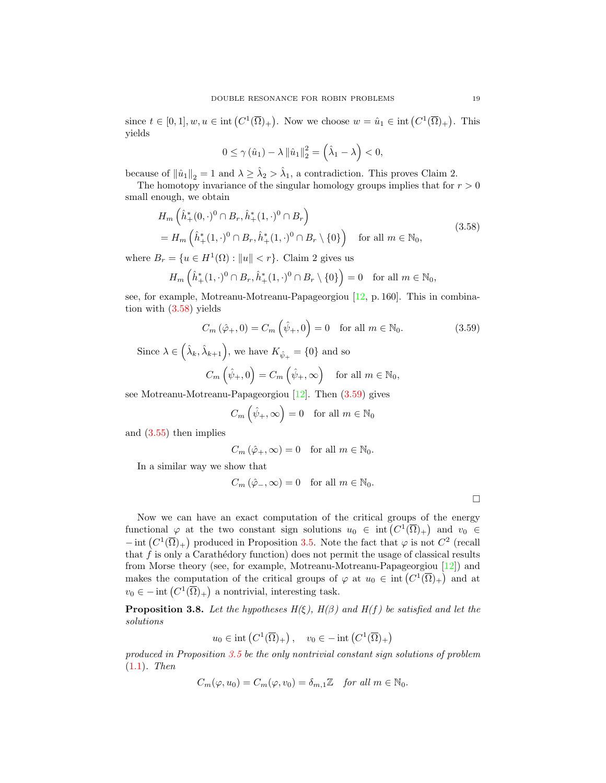since  $t \in [0,1], w, u \in \text{int}(C^1(\overline{\Omega})_+)$ . Now we choose  $w = \hat{u}_1 \in \text{int}(C^1(\overline{\Omega})_+)$ . This yields

<span id="page-18-0"></span>
$$
0 \leq \gamma(\hat{u}_1) - \lambda \left\|\hat{u}_1\right\|_2^2 = \left(\hat{\lambda}_1 - \lambda\right) < 0,
$$

because of  $\|\hat{u}_1\|_2 = 1$  and  $\lambda \geq \hat{\lambda}_2 > \hat{\lambda}_1$ , a contradiction. This proves Claim 2.

The homotopy invariance of the singular homology groups implies that for  $r > 0$ small enough, we obtain

$$
H_m\left(\hat{h}_+^*(0,\cdot)^0 \cap B_r, \hat{h}_+^*(1,\cdot)^0 \cap B_r\right) = H_m\left(\hat{h}_+^*(1,\cdot)^0 \cap B_r, \hat{h}_+^*(1,\cdot)^0 \cap B_r \setminus \{0\}\right) \quad \text{for all } m \in \mathbb{N}_0,
$$
\n(3.58)

where  $B_r = \{u \in H^1(\Omega) : ||u|| < r\}$ . Claim 2 gives us

$$
H_m\left(\hat{h}^*_+(1,\cdot)^0\cap B_r, \hat{h}^*_+(1,\cdot)^0\cap B_r\setminus\{0\}\right)=0 \quad \text{for all } m\in\mathbb{N}_0,
$$

see, for example, Motreanu-Motreanu-Papageorgiou [\[12,](#page-21-8) p. 160]. This in combination with [\(3.58\)](#page-18-0) yields

$$
C_m\left(\hat{\varphi}_+,0\right) = C_m\left(\hat{\psi}_+,0\right) = 0 \quad \text{for all } m \in \mathbb{N}_0. \tag{3.59}
$$

Since  $\lambda \in (\hat{\lambda}_k, \hat{\lambda}_{k+1}),$  we have  $K_{\hat{\psi}_+} = \{0\}$  and so

$$
C_m\left(\hat{\psi}_+,0\right) = C_m\left(\hat{\psi}_+,\infty\right) \quad \text{for all } m \in \mathbb{N}_0,
$$

see Motreanu-Motreanu-Papageorgiou [\[12\]](#page-21-8). Then [\(3.59\)](#page-18-1) gives

<span id="page-18-1"></span>
$$
C_m\left(\hat{\psi}_+,\infty\right) = 0 \quad \text{for all } m \in \mathbb{N}_0
$$

and [\(3.55\)](#page-16-5) then implies

$$
C_m\left(\hat{\varphi }_+,\infty \right)=0\quad \text{for all }m\in \mathbb{N}_0.
$$

In a similar way we show that

$$
C_m\left(\hat{\varphi}_-, \infty\right) = 0 \quad \text{for all } m \in \mathbb{N}_0.
$$

Now we can have an exact computation of the critical groups of the energy functional  $\varphi$  at the two constant sign solutions  $u_0 \in \text{int}(C^1(\overline{\Omega})_+)$  and  $v_0 \in$  $-\text{int}(C^1(\overline{\Omega})_+)$  produced in Proposition [3.5.](#page-12-3) Note the fact that  $\varphi$  is not  $C^2$  (recall that  $\hat{f}$  is only a Carathédory function) does not permit the usage of classical results from Morse theory (see, for example, Motreanu-Motreanu-Papageorgiou [\[12\]](#page-21-8)) and makes the computation of the critical groups of  $\varphi$  at  $u_0 \in \text{int}\left(C^1(\overline{\Omega})_+\right)$  and at  $v_0 \in -\text{int}\left(C^1(\overline{\Omega})_+\right)$  a nontrivial, interesting task.

<span id="page-18-2"></span>**Proposition 3.8.** Let the hypotheses  $H(\xi)$ ,  $H(\beta)$  and  $H(f)$  be satisfied and let the solutions

$$
u_0 \in \text{int}\left(C^1(\overline{\Omega})_+\right), \quad v_0 \in -\text{int}\left(C^1(\overline{\Omega})_+\right)
$$

produced in Proposition [3.5](#page-12-3) be the only nontrivial constant sign solutions of problem [\(1.1\)](#page-0-0). Then

$$
C_m(\varphi, u_0) = C_m(\varphi, v_0) = \delta_{m,1} \mathbb{Z} \quad \text{for all } m \in \mathbb{N}_0.
$$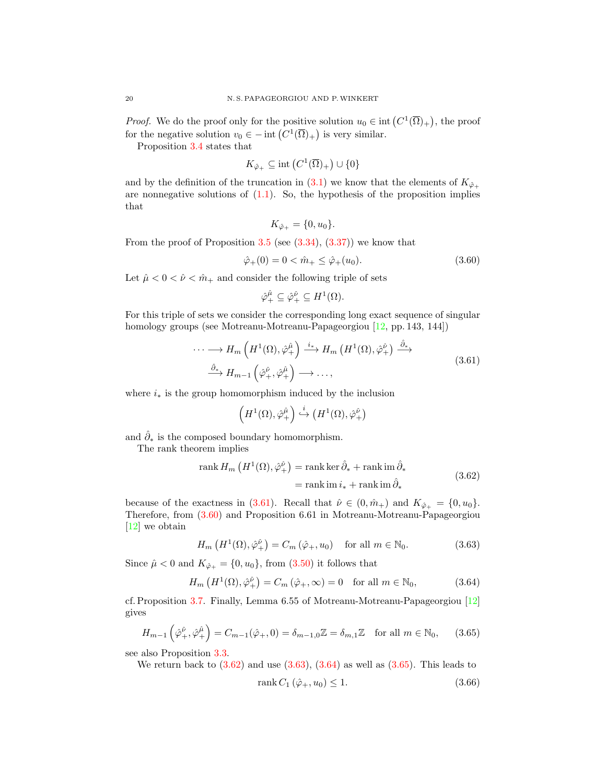*Proof.* We do the proof only for the positive solution  $u_0 \in \text{int}\left(C^1(\overline{\Omega})_+\right)$ , the proof for the negative solution  $v_0 \in - \text{int} (C^1(\overline{\Omega})_+)$  is very similar.

Proposition [3.4](#page-11-5) states that

$$
K_{\hat{\varphi}_+} \subseteq \text{int}\left(C^1(\overline{\Omega})_+\right) \cup \{0\}
$$

and by the definition of the truncation in [\(3.1\)](#page-6-0) we know that the elements of  $K_{\hat{\varphi}_+}$ are nonnegative solutions of  $(1.1)$ . So, the hypothesis of the proposition implies that

<span id="page-19-1"></span>
$$
K_{\hat{\varphi}_+} = \{0, u_0\}.
$$

From the proof of Proposition  $3.5$  (see  $(3.34)$ ,  $(3.37)$ ) we know that

$$
\hat{\varphi}_+(0) = 0 < \hat{m}_+ \le \hat{\varphi}_+(u_0). \tag{3.60}
$$

Let  $\hat{\mu} < 0 < \hat{\nu} < \hat{m}_+$  and consider the following triple of sets

<span id="page-19-0"></span>
$$
\hat{\varphi}^{\hat{\mu}}_{+} \subseteq \hat{\varphi}^{\hat{\nu}}_{+} \subseteq H^1(\Omega).
$$

For this triple of sets we consider the corresponding long exact sequence of singular homology groups (see Motreanu-Motreanu-Papageorgiou [\[12,](#page-21-8) pp. 143, 144])

$$
\cdots \longrightarrow H_m\left(H^1(\Omega), \hat{\varphi}_+^{\hat{\mu}}\right) \xrightarrow{i_*} H_m\left(H^1(\Omega), \hat{\varphi}_+^{\hat{\nu}}\right) \xrightarrow{\hat{\partial}_*} H_{m-1}\left(\hat{\varphi}_+^{\hat{\nu}}, \hat{\varphi}_+^{\hat{\mu}}\right) \longrightarrow \cdots,
$$
\n(3.61)

where  $i_*$  is the group homomorphism induced by the inclusion

<span id="page-19-2"></span>
$$
\left(H^1(\Omega), \hat{\varphi}^{\hat{\mu}}_{+}\right) \stackrel{i}{\hookrightarrow} \left(H^1(\Omega), \hat{\varphi}^{\hat{\nu}}_{+}\right)
$$

and  $\hat{\partial}_*$  is the composed boundary homomorphism.

The rank theorem implies

rank 
$$
H_m\left(H^1(\Omega), \hat{\varphi}^{\hat{\nu}}_+\right) = \text{rank }\text{ker }\hat{\partial}_* + \text{rank }\text{im }\hat{\partial}_*
$$
  
= rank im  $i_* + \text{rank }\text{im }\hat{\partial}_*$  (3.62)

because of the exactness in [\(3.61\)](#page-19-0). Recall that  $\hat{\nu} \in (0, \hat{m}_+)$  and  $K_{\hat{\varphi}_+} = \{0, u_0\}.$ Therefore, from [\(3.60\)](#page-19-1) and Proposition 6.61 in Motreanu-Motreanu-Papageorgiou [\[12\]](#page-21-8) we obtain

$$
H_m\left(H^1(\Omega),\hat{\varphi}^{\hat{\nu}}_+\right) = C_m\left(\hat{\varphi}_+,u_0\right) \quad \text{for all } m \in \mathbb{N}_0. \tag{3.63}
$$

Since  $\hat{\mu} < 0$  and  $K_{\hat{\varphi}_+} = \{0, u_0\}$ , from  $(3.50)$  it follows that

$$
H_m\left(H^1(\Omega), \hat{\varphi}^{\hat{\nu}}_+\right) = C_m\left(\hat{\varphi}_+, \infty\right) = 0 \quad \text{for all } m \in \mathbb{N}_0,
$$
\n(3.64)

cf. Proposition [3.7.](#page-15-3) Finally, Lemma 6.55 of Motreanu-Motreanu-Papageorgiou [\[12\]](#page-21-8) gives

$$
H_{m-1}\left(\hat{\varphi}_+^{\hat{\nu}},\hat{\varphi}_+^{\hat{\mu}}\right) = C_{m-1}(\hat{\varphi}_+,0) = \delta_{m-1,0}\mathbb{Z} = \delta_{m,1}\mathbb{Z} \quad \text{for all } m \in \mathbb{N}_0,\qquad(3.65)
$$

see also Proposition [3.3.](#page-11-6)

We return back to  $(3.62)$  and use  $(3.63)$ ,  $(3.64)$  as well as  $(3.65)$ . This leads to

<span id="page-19-6"></span><span id="page-19-5"></span><span id="page-19-4"></span><span id="page-19-3"></span>
$$
rank C_1 \left( \hat{\varphi}_+, u_0 \right) \le 1. \tag{3.66}
$$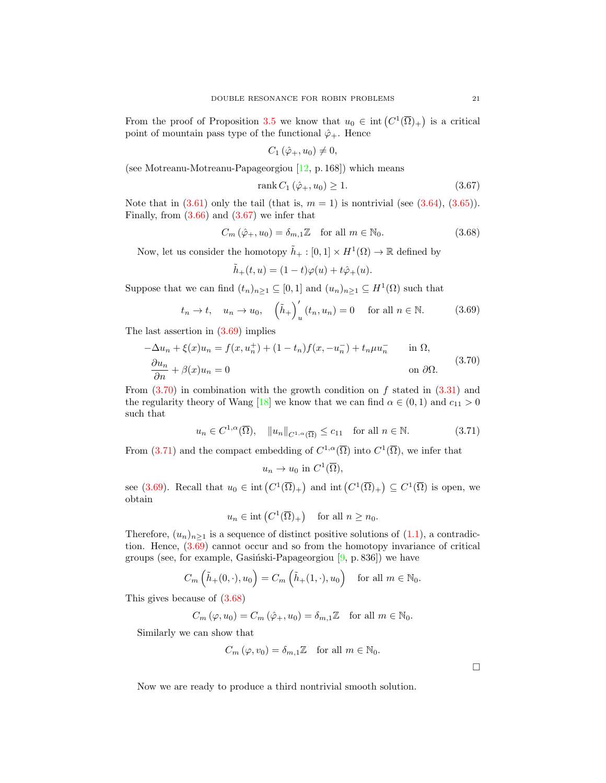From the proof of Proposition [3.5](#page-12-3) we know that  $u_0 \in \text{int}(C^1(\overline{\Omega})_+)$  is a critical point of mountain pass type of the functional  $\hat{\varphi}_+$ . Hence

<span id="page-20-0"></span>
$$
C_1(\hat{\varphi}_+,u_0)\neq 0,
$$

(see Motreanu-Motreanu-Papageorgiou [\[12,](#page-21-8) p. 168]) which means

<span id="page-20-4"></span>
$$
rank C_1(\hat{\varphi}_+, u_0) \ge 1. \tag{3.67}
$$

Note that in  $(3.61)$  only the tail (that is,  $m = 1$ ) is nontrivial (see  $(3.64)$ ,  $(3.65)$ ). Finally, from  $(3.66)$  and  $(3.67)$  we infer that

$$
C_m\left(\hat{\varphi}_+, u_0\right) = \delta_{m,1} \mathbb{Z} \quad \text{for all } m \in \mathbb{N}_0. \tag{3.68}
$$

Now, let us consider the homotopy  $\tilde{h}_+ : [0,1] \times H^1(\Omega) \to \mathbb{R}$  defined by

<span id="page-20-1"></span>
$$
\tilde{h}_+(t,u)=(1-t)\varphi(u)+t\hat{\varphi}_+(u).
$$

Suppose that we can find  $(t_n)_{n\geq 1} \subseteq [0,1]$  and  $(u_n)_{n\geq 1} \subseteq H^1(\Omega)$  such that

$$
t_n \to t, \quad u_n \to u_0, \quad \left(\tilde{h}_+\right)_u'(t_n, u_n) = 0 \quad \text{ for all } n \in \mathbb{N}.
$$
 (3.69)

The last assertion in  $(3.69)$  implies

<span id="page-20-2"></span>
$$
-\Delta u_n + \xi(x)u_n = f(x, u_n^+) + (1 - t_n)f(x, -u_n^-) + t_n\mu u_n^- \quad \text{in } \Omega,
$$
  
\n
$$
\frac{\partial u_n}{\partial n} + \beta(x)u_n = 0 \quad \text{on } \partial\Omega.
$$
\n(3.70)

From  $(3.70)$  in combination with the growth condition on f stated in  $(3.31)$  and the regularity theory of Wang [\[18\]](#page-22-5) we know that we can find  $\alpha \in (0,1)$  and  $c_{11} > 0$ such that

$$
u_n \in C^{1,\alpha}(\overline{\Omega}), \quad \|u_n\|_{C^{1,\alpha}(\overline{\Omega})} \le c_{11} \quad \text{for all } n \in \mathbb{N}.
$$
 (3.71)

From [\(3.71\)](#page-20-3) and the compact embedding of  $C^{1,\alpha}(\overline{\Omega})$  into  $C^1(\overline{\Omega})$ , we infer that

<span id="page-20-3"></span>
$$
u_n \to u_0
$$
 in  $C^1(\overline{\Omega}),$ 

see [\(3.69\)](#page-20-1). Recall that  $u_0 \in \text{int}\left(C^1(\overline{\Omega})_+\right)$  and  $\text{int}\left(C^1(\overline{\Omega})_+\right) \subseteq C^1(\overline{\Omega})$  is open, we obtain

$$
u_n \in \text{int}(C^1(\overline{\Omega})_+)
$$
 for all  $n \ge n_0$ .

Therefore,  $(u_n)_{n\geq 1}$  is a sequence of distinct positive solutions of [\(1.1\)](#page-0-0), a contradiction. Hence, [\(3.69\)](#page-20-1) cannot occur and so from the homotopy invariance of critical groups (see, for example, Gasiński-Papageorgiou  $[9, p. 836]$ ) we have

$$
C_m\left(\tilde{h}_+(0,\cdot),u_0\right) = C_m\left(\tilde{h}_+(1,\cdot),u_0\right) \quad \text{for all } m \in \mathbb{N}_0.
$$

This gives because of [\(3.68\)](#page-20-4)

$$
C_m(\varphi, u_0) = C_m(\hat{\varphi}_+, u_0) = \delta_{m,1} \mathbb{Z} \quad \text{for all } m \in \mathbb{N}_0.
$$

Similarly we can show that

$$
C_m(\varphi, v_0) = \delta_{m,1} \mathbb{Z} \quad \text{for all } m \in \mathbb{N}_0.
$$

Now we are ready to produce a third nontrivial smooth solution.

 $\Box$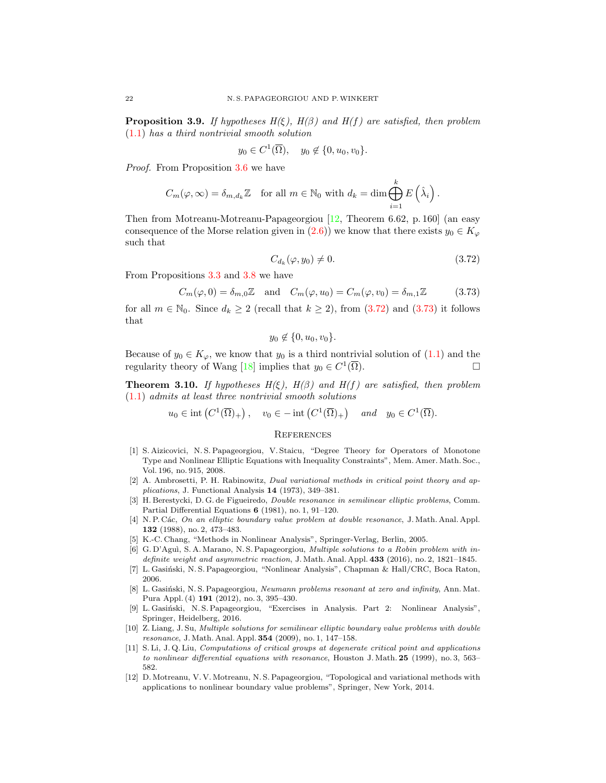**Proposition 3.9.** If hypotheses  $H(\xi)$ ,  $H(\beta)$  and  $H(f)$  are satisfied, then problem [\(1.1\)](#page-0-0) has a third nontrivial smooth solution

$$
y_0 \in C^1(\overline{\Omega}), \quad y_0 \notin \{0, u_0, v_0\}.
$$

Proof. From Proposition [3.6](#page-13-5) we have

$$
C_m(\varphi,\infty) = \delta_{m,d_k} \mathbb{Z} \quad \text{for all } m \in \mathbb{N}_0 \text{ with } d_k = \dim \bigoplus_{i=1}^k E\left(\hat{\lambda}_i\right).
$$

Then from Motreanu-Motreanu-Papageorgiou [\[12,](#page-21-8) Theorem 6.62, p. 160] (an easy consequence of the Morse relation given in [\(2.6\)](#page-5-1)) we know that there exists  $y_0 \in K_{\varphi}$ such that

<span id="page-21-13"></span><span id="page-21-12"></span>
$$
C_{d_k}(\varphi, y_0) \neq 0. \tag{3.72}
$$

From Propositions [3.3](#page-11-6) and [3.8](#page-18-2) we have

$$
C_m(\varphi, 0) = \delta_{m,0}\mathbb{Z} \quad \text{and} \quad C_m(\varphi, u_0) = C_m(\varphi, v_0) = \delta_{m,1}\mathbb{Z} \tag{3.73}
$$

for all  $m \in \mathbb{N}_0$ . Since  $d_k \geq 2$  (recall that  $k \geq 2$ ), from [\(3.72\)](#page-21-12) and [\(3.73\)](#page-21-13) it follows that

$$
y_0 \notin \{0, u_0, v_0\}.
$$

Because of  $y_0 \in K_{\varphi}$ , we know that  $y_0$  is a third nontrivial solution of  $(1.1)$  and the regularity theory of Wang [\[18\]](#page-22-5) implies that  $y_0 \in C^1(\overline{\Omega})$ .

**Theorem 3.10.** If hypotheses  $H(\xi)$ ,  $H(\beta)$  and  $H(f)$  are satisfied, then problem [\(1.1\)](#page-0-0) admits at least three nontrivial smooth solutions

$$
u_0 \in \text{int}\left(C^1(\overline{\Omega})_+\right), \quad v_0 \in -\text{int}\left(C^1(\overline{\Omega})_+\right) \quad \text{and} \quad y_0 \in C^1(\overline{\Omega}).
$$

### **REFERENCES**

- <span id="page-21-9"></span>[1] S. Aizicovici, N. S. Papageorgiou, V. Staicu, "Degree Theory for Operators of Monotone Type and Nonlinear Elliptic Equations with Inequality Constraints", Mem. Amer. Math. Soc., Vol. 196, no. 915, 2008.
- <span id="page-21-5"></span>[2] A. Ambrosetti, P. H. Rabinowitz, Dual variational methods in critical point theory and applications, J. Functional Analysis 14 (1973), 349–381.
- <span id="page-21-2"></span>[3] H. Berestycki, D. G. de Figueiredo, Double resonance in semilinear elliptic problems, Comm. Partial Differential Equations 6 (1981), no. 1, 91–120.
- <span id="page-21-3"></span>[4] N. P. Các, On an elliptic boundary value problem at double resonance, J. Math. Anal. Appl. 132 (1988), no. 2, 473–483.
- <span id="page-21-10"></span>[5] K.-C. Chang, "Methods in Nonlinear Analysis", Springer-Verlag, Berlin, 2005.
- <span id="page-21-7"></span>[6] G. D'Aguì, S. A. Marano, N. S. Papageorgiou, *Multiple solutions to a Robin problem with in*definite weight and asymmetric reaction, J. Math. Anal. Appl. 433 (2016), no. 2, 1821-1845.
- <span id="page-21-6"></span>[7] L. Gasiński, N. S. Papageorgiou, "Nonlinear Analysis", Chapman & Hall/CRC, Boca Raton, 2006.
- <span id="page-21-1"></span>[8] L. Gasiński, N. S. Papageorgiou, Neumann problems resonant at zero and infinity, Ann. Mat. Pura Appl. (4) 191 (2012), no. 3, 395–430.
- <span id="page-21-11"></span>[9] L. Gasiński, N. S. Papageorgiou, "Exercises in Analysis. Part 2: Nonlinear Analysis", Springer, Heidelberg, 2016.
- <span id="page-21-4"></span>[10] Z. Liang, J. Su, Multiple solutions for semilinear elliptic boundary value problems with double resonance, J. Math. Anal. Appl. 354 (2009), no. 1, 147–158.
- <span id="page-21-0"></span>[11] S. Li, J. Q. Liu, *Computations of critical groups at degenerate critical point and applications* to nonlinear differential equations with resonance, Houston J. Math. 25 (1999), no. 3, 563– 582.
- <span id="page-21-8"></span>[12] D. Motreanu, V. V. Motreanu, N. S. Papageorgiou, "Topological and variational methods with applications to nonlinear boundary value problems", Springer, New York, 2014.